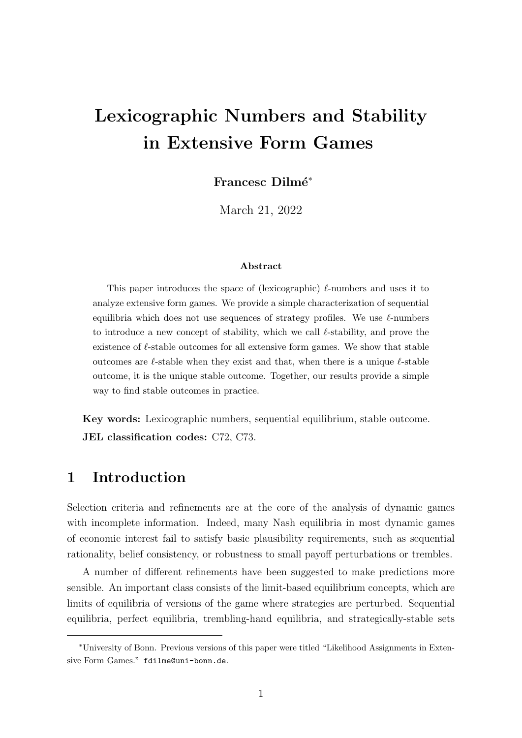# Lexicographic Numbers and Stability in Extensive Form Games

Francesc Dilmé<sup>\*</sup>

March 21, 2022

### Abstract

This paper introduces the space of (lexicographic)  $\ell$ -numbers and uses it to analyze extensive form games. We provide a simple characterization of sequential equilibria which does not use sequences of strategy profiles. We use  $\ell$ -numbers to introduce a new concept of stability, which we call  $\ell$ -stability, and prove the existence of  $\ell$ -stable outcomes for all extensive form games. We show that stable outcomes are  $\ell$ -stable when they exist and that, when there is a unique  $\ell$ -stable outcome, it is the unique stable outcome. Together, our results provide a simple way to find stable outcomes in practice.

Key words: Lexicographic numbers, sequential equilibrium, stable outcome. JEL classification codes: C72, C73.

# 1 Introduction

Selection criteria and refinements are at the core of the analysis of dynamic games with incomplete information. Indeed, many Nash equilibria in most dynamic games of economic interest fail to satisfy basic plausibility requirements, such as sequential rationality, belief consistency, or robustness to small payoff perturbations or trembles.

A number of different refinements have been suggested to make predictions more sensible. An important class consists of the limit-based equilibrium concepts, which are limits of equilibria of versions of the game where strategies are perturbed. Sequential equilibria, perfect equilibria, trembling-hand equilibria, and strategically-stable sets

<sup>∗</sup>University of Bonn. Previous versions of this paper were titled "Likelihood Assignments in Extensive Form Games." fdilme@uni-bonn.de.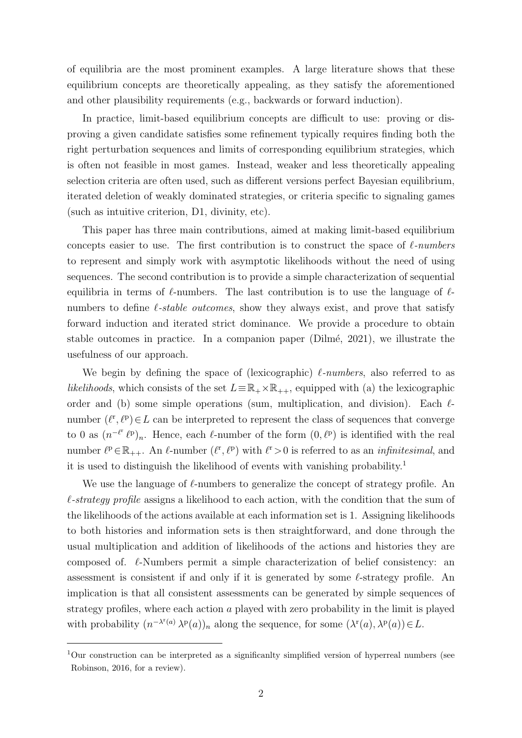of equilibria are the most prominent examples. A large literature shows that these equilibrium concepts are theoretically appealing, as they satisfy the aforementioned and other plausibility requirements (e.g., backwards or forward induction).

In practice, limit-based equilibrium concepts are difficult to use: proving or disproving a given candidate satisfies some refinement typically requires finding both the right perturbation sequences and limits of corresponding equilibrium strategies, which is often not feasible in most games. Instead, weaker and less theoretically appealing selection criteria are often used, such as different versions perfect Bayesian equilibrium, iterated deletion of weakly dominated strategies, or criteria specific to signaling games (such as intuitive criterion, D1, divinity, etc).

This paper has three main contributions, aimed at making limit-based equilibrium concepts easier to use. The first contribution is to construct the space of  $\ell$ -numbers to represent and simply work with asymptotic likelihoods without the need of using sequences. The second contribution is to provide a simple characterization of sequential equilibria in terms of  $\ell$ -numbers. The last contribution is to use the language of  $\ell$ numbers to define  $\ell$ -stable outcomes, show they always exist, and prove that satisfy forward induction and iterated strict dominance. We provide a procedure to obtain stable outcomes in practice. In a companion paper (Dilmé, 2021), we illustrate the usefulness of our approach.

We begin by defining the space of (lexicographic)  $\ell$ -numbers, also referred to as likelihoods, which consists of the set  $L \equiv \mathbb{R}_+ \times \mathbb{R}_{++}$ , equipped with (a) the lexicographic order and (b) some simple operations (sum, multiplication, and division). Each  $\ell$ number  $(\ell^r, \ell^p) \in L$  can be interpreted to represent the class of sequences that converge to 0 as  $(n^{-\ell^r}\ell^p)_n$ . Hence, each  $\ell$ -number of the form  $(0,\ell^p)$  is identified with the real number  $\ell^p \in \mathbb{R}_{++}$ . An  $\ell$ -number  $(\ell^r, \ell^p)$  with  $\ell^r > 0$  is referred to as an *infinitesimal*, and it is used to distinguish the likelihood of events with vanishing probability.[1](#page-1-0)

We use the language of  $\ell$ -numbers to generalize the concept of strategy profile. An  $\ell$ -strategy profile assigns a likelihood to each action, with the condition that the sum of the likelihoods of the actions available at each information set is 1. Assigning likelihoods to both histories and information sets is then straightforward, and done through the usual multiplication and addition of likelihoods of the actions and histories they are composed of.  $\ell$ -Numbers permit a simple characterization of belief consistency: an assessment is consistent if and only if it is generated by some  $\ell$ -strategy profile. An implication is that all consistent assessments can be generated by simple sequences of strategy profiles, where each action a played with zero probability in the limit is played with probability  $(n^{-\lambda^{r}(a)} \lambda^{p}(a))_n$  along the sequence, for some  $(\lambda^{r}(a), \lambda^{p}(a)) \in L$ .

<span id="page-1-0"></span> $1$ Our construction can be interpreted as a significanlty simplified version of hyperreal numbers (see [Robinson,](#page-23-0) [2016,](#page-23-0) for a review).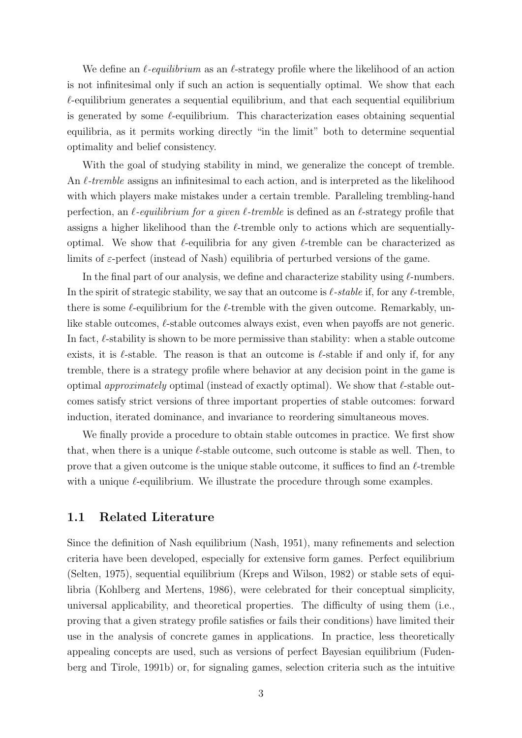We define an  $\ell$ -equilibrium as an  $\ell$ -strategy profile where the likelihood of an action is not infinitesimal only if such an action is sequentially optimal. We show that each  $\ell$ -equilibrium generates a sequential equilibrium, and that each sequential equilibrium is generated by some  $\ell$ -equilibrium. This characterization eases obtaining sequential equilibria, as it permits working directly "in the limit" both to determine sequential optimality and belief consistency.

With the goal of studying stability in mind, we generalize the concept of tremble. An  $\ell$ -tremble assigns an infinitesimal to each action, and is interpreted as the likelihood with which players make mistakes under a certain tremble. Paralleling trembling-hand perfection, an  $\ell$ -equilibrium for a given  $\ell$ -tremble is defined as an  $\ell$ -strategy profile that assigns a higher likelihood than the  $\ell$ -tremble only to actions which are sequentiallyoptimal. We show that  $\ell$ -equilibria for any given  $\ell$ -tremble can be characterized as limits of  $\varepsilon$ -perfect (instead of Nash) equilibria of perturbed versions of the game.

In the final part of our analysis, we define and characterize stability using  $\ell$ -numbers. In the spirit of strategic stability, we say that an outcome is  $\ell$ -stable if, for any  $\ell$ -tremble, there is some  $\ell$ -equilibrium for the  $\ell$ -tremble with the given outcome. Remarkably, unlike stable outcomes,  $\ell$ -stable outcomes always exist, even when payoffs are not generic. In fact,  $\ell$ -stability is shown to be more permissive than stability: when a stable outcome exists, it is  $\ell$ -stable. The reason is that an outcome is  $\ell$ -stable if and only if, for any tremble, there is a strategy profile where behavior at any decision point in the game is optimal *approximately* optimal (instead of exactly optimal). We show that  $\ell$ -stable outcomes satisfy strict versions of three important properties of stable outcomes: forward induction, iterated dominance, and invariance to reordering simultaneous moves.

We finally provide a procedure to obtain stable outcomes in practice. We first show that, when there is a unique  $\ell$ -stable outcome, such outcome is stable as well. Then, to prove that a given outcome is the unique stable outcome, it suffices to find an  $\ell$ -tremble with a unique  $\ell$ -equilibrium. We illustrate the procedure through some examples.

### 1.1 Related Literature

Since the definition of Nash equilibrium [\(Nash,](#page-23-1) [1951\)](#page-23-1), many refinements and selection criteria have been developed, especially for extensive form games. Perfect equilibrium [\(Selten,](#page-23-2) [1975\)](#page-23-2), sequential equilibrium [\(Kreps and Wilson,](#page-22-0) [1982\)](#page-22-0) or stable sets of equilibria [\(Kohlberg and Mertens,](#page-22-1) [1986\)](#page-22-1), were celebrated for their conceptual simplicity, universal applicability, and theoretical properties. The difficulty of using them (i.e., proving that a given strategy profile satisfies or fails their conditions) have limited their use in the analysis of concrete games in applications. In practice, less theoretically appealing concepts are used, such as versions of perfect Bayesian equilibrium [\(Fuden](#page-22-2)[berg and Tirole,](#page-22-2) [1991b\)](#page-22-2) or, for signaling games, selection criteria such as the intuitive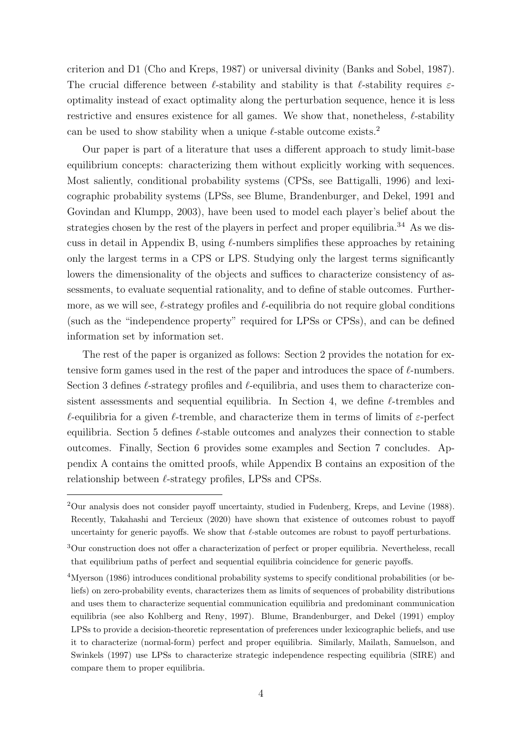criterion and D1 [\(Cho and Kreps,](#page-22-3) [1987\)](#page-22-3) or universal divinity [\(Banks and Sobel,](#page-22-4) [1987\)](#page-22-4). The crucial difference between  $\ell$ -stability and stability is that  $\ell$ -stability requires  $\varepsilon$ optimality instead of exact optimality along the perturbation sequence, hence it is less restrictive and ensures existence for all games. We show that, nonetheless,  $\ell$ -stability can be used to show stability when a unique  $\ell$ -stable outcome exists.<sup>[2](#page-3-0)</sup>

Our paper is part of a literature that uses a different approach to study limit-base equilibrium concepts: characterizing them without explicitly working with sequences. Most saliently, conditional probability systems (CPSs, see [Battigalli,](#page-22-5) [1996\)](#page-22-5) and lexicographic probability systems (LPSs, see [Blume, Brandenburger, and Dekel,](#page-22-6) [1991](#page-22-6) and [Govindan and Klumpp,](#page-22-7) [2003\)](#page-22-7), have been used to model each player's belief about the strategies chosen by the rest of the players in perfect and proper equilibria.<sup>[3](#page-3-1)[4](#page-3-2)</sup> As we dis-cuss in detail in Appendix [B,](#page-35-0) using  $\ell$ -numbers simplifies these approaches by retaining only the largest terms in a CPS or LPS. Studying only the largest terms significantly lowers the dimensionality of the objects and suffices to characterize consistency of assessments, to evaluate sequential rationality, and to define of stable outcomes. Furthermore, as we will see,  $\ell$ -strategy profiles and  $\ell$ -equilibria do not require global conditions (such as the "independence property" required for LPSs or CPSs), and can be defined information set by information set.

The rest of the paper is organized as follows: Section [2](#page-4-0) provides the notation for extensive form games used in the rest of the paper and introduces the space of  $\ell$ -numbers. Section [3](#page-6-0) defines  $\ell$ -strategy profiles and  $\ell$ -equilibria, and uses them to characterize con-sistent assessments and sequential equilibria. In Section [4,](#page-10-0) we define  $\ell$ -trembles and  $\ell$ -equilibria for a given  $\ell$ -tremble, and characterize them in terms of limits of  $\varepsilon$ -perfect equilibria. Section [5](#page-14-0) defines  $\ell$ -stable outcomes and analyzes their connection to stable outcomes. Finally, Section [6](#page-20-0) provides some examples and Section [7](#page-21-0) concludes. Appendix [A](#page-24-0) contains the omitted proofs, while Appendix [B](#page-35-0) contains an exposition of the relationship between  $\ell$ -strategy profiles, LPSs and CPSs.

<span id="page-3-0"></span><sup>2</sup>Our analysis does not consider payoff uncertainty, studied in [Fudenberg, Kreps, and Levine](#page-22-8) [\(1988\)](#page-22-8). Recently, [Takahashi and Tercieux](#page-23-3) [\(2020\)](#page-23-3) have shown that existence of outcomes robust to payoff uncertainty for generic payoffs. We show that  $\ell$ -stable outcomes are robust to payoff perturbations.

<span id="page-3-1"></span><sup>3</sup>Our construction does not offer a characterization of perfect or proper equilibria. Nevertheless, recall that equilibrium paths of perfect and sequential equilibria coincidence for generic payoffs.

<span id="page-3-2"></span><sup>4</sup>[Myerson](#page-22-9) [\(1986\)](#page-22-9) introduces conditional probability systems to specify conditional probabilities (or beliefs) on zero-probability events, characterizes them as limits of sequences of probability distributions and uses them to characterize sequential communication equilibria and predominant communication equilibria (see also [Kohlberg and Reny,](#page-22-10) [1997\)](#page-22-10). [Blume, Brandenburger, and Dekel](#page-22-6) [\(1991\)](#page-22-6) employ LPSs to provide a decision-theoretic representation of preferences under lexicographic beliefs, and use it to characterize (normal-form) perfect and proper equilibria. Similarly, [Mailath, Samuelson, and](#page-22-11) [Swinkels](#page-22-11) [\(1997\)](#page-22-11) use LPSs to characterize strategic independence respecting equilibria (SIRE) and compare them to proper equilibria.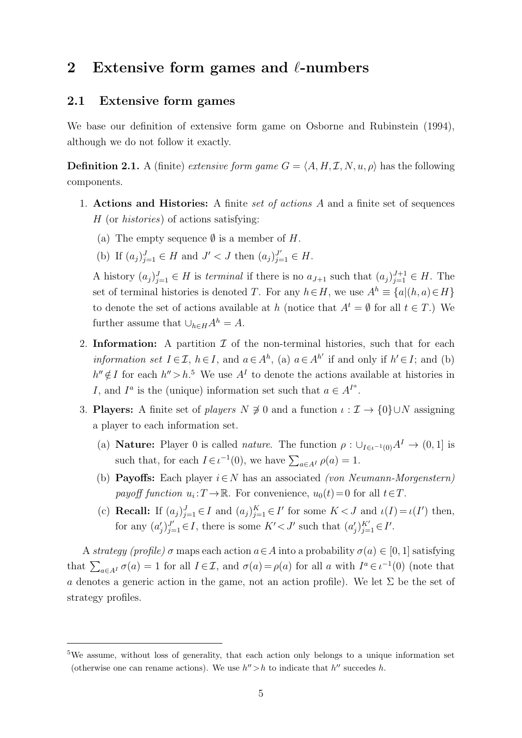# <span id="page-4-0"></span>2 Extensive form games and  $\ell$ -numbers

# <span id="page-4-2"></span>2.1 Extensive form games

We base our definition of extensive form game on [Osborne and Rubinstein](#page-23-4) [\(1994\)](#page-23-4), although we do not follow it exactly.

**Definition 2.1.** A (finite) extensive form game  $G = \langle A, H, \mathcal{I}, N, u, \rho \rangle$  has the following components.

- 1. Actions and Histories: A finite set of actions A and a finite set of sequences H (or histories) of actions satisfying:
	- (a) The empty sequence  $\emptyset$  is a member of H.
	- (b) If  $(a_j)_{j=1}^J \in H$  and  $J' < J$  then  $(a_j)_{j=1}^{J'} \in H$ .

A history  $(a_j)_{j=1}^J \in H$  is terminal if there is no  $a_{J+1}$  such that  $(a_j)_{j=1}^{J+1} \in H$ . The set of terminal histories is denoted T. For any  $h \in H$ , we use  $A^h \equiv \{a | (h, a) \in H\}$ to denote the set of actions available at h (notice that  $A^t = \emptyset$  for all  $t \in T$ .) We further assume that  $\bigcup_{h\in H} A^h = A$ .

- 2. Information: A partition  $\mathcal I$  of the non-terminal histories, such that for each *information set*  $I \in \mathcal{I}$ ,  $h \in I$ , and  $a \in A^h$ , (a)  $a \in A^{h'}$  if and only if  $h' \in I$ ; and (b)  $h'' \notin I$  for each  $h'' > h$ <sup>[5](#page-4-1)</sup>. We use  $A<sup>I</sup>$  to denote the actions available at histories in I, and  $I^a$  is the (unique) information set such that  $a \in A^{I^a}$ .
- 3. **Players:** A finite set of *players*  $N \neq 0$  and a function  $\iota : \mathcal{I} \to \{0\} \cup N$  assigning a player to each information set.
	- (a) **Nature:** Player 0 is called *nature*. The function  $\rho : \bigcup_{I \in \iota^{-1}(0)} A^I \to (0, 1]$  is such that, for each  $I \in \iota^{-1}(0)$ , we have  $\sum_{a \in A^I} \rho(a) = 1$ .
	- (b) **Payoffs:** Each player  $i \in N$  has an associated (von Neumann-Morgenstern) payoff function  $u_i: T \to \mathbb{R}$ . For convenience,  $u_0(t) = 0$  for all  $t \in T$ .
	- (c) **Recall:** If  $(a_j)_{j=1}^J \in I$  and  $(a_j)_{j=1}^K \in I'$  for some  $K < J$  and  $\iota(I) = \iota(I')$  then, for any  $(a'_j)_{j=1}^{J'} \in I$ , there is some  $K' < J'$  such that  $(a'_j)_{j=1}^{K'} \in I'$ .

A strategy (profile)  $\sigma$  maps each action  $a \in A$  into a probability  $\sigma(a) \in [0, 1]$  satisfying that  $\sum_{a \in A^I} \sigma(a) = 1$  for all  $I \in \mathcal{I}$ , and  $\sigma(a) = \rho(a)$  for all a with  $I^a \in \iota^{-1}(0)$  (note that a denotes a generic action in the game, not an action profile). We let  $\Sigma$  be the set of strategy profiles.

<span id="page-4-1"></span><sup>&</sup>lt;sup>5</sup>We assume, without loss of generality, that each action only belongs to a unique information set (otherwise one can rename actions). We use  $h''>h$  to indicate that  $h''$  succedes h.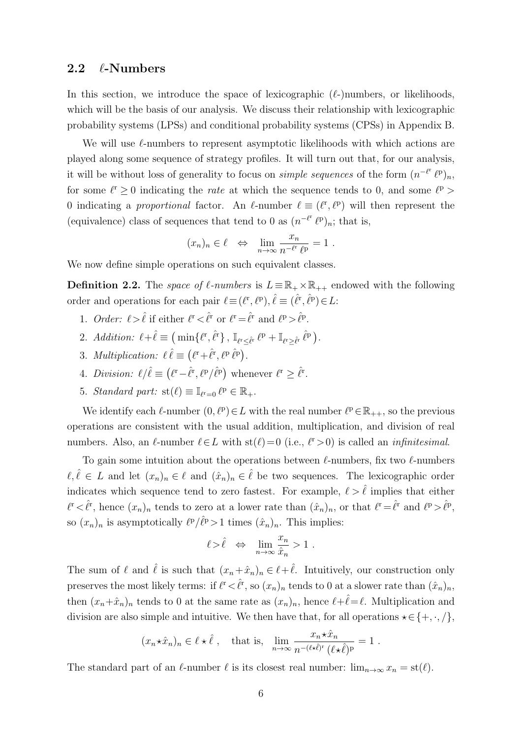### 2.2  $\ell$ -Numbers

In this section, we introduce the space of lexicographic  $(\ell$ -)numbers, or likelihoods, which will be the basis of our analysis. We discuss their relationship with lexicographic probability systems (LPSs) and conditional probability systems (CPSs) in Appendix [B.](#page-35-0)

We will use  $\ell$ -numbers to represent asymptotic likelihoods with which actions are played along some sequence of strategy profiles. It will turn out that, for our analysis, it will be without loss of generality to focus on *simple sequences* of the form  $(n^{-\ell^r} \ell^p)_n$ , for some  $\ell^r \geq 0$  indicating the *rate* at which the sequence tends to 0, and some  $\ell^p$ 0 indicating a proportional factor. An  $\ell$ -number  $\ell \equiv (\ell^r, \ell^p)$  will then represent the (equivalence) class of sequences that tend to 0 as  $(n^{-\ell^r}\ell^p)_n$ ; that is,

$$
(x_n)_n \in \ell \iff \lim_{n \to \infty} \frac{x_n}{n^{-\ell^r} \ell^p} = 1.
$$

We now define simple operations on such equivalent classes.

**Definition 2.2.** The space of  $\ell$ -numbers is  $L = \mathbb{R}_+ \times \mathbb{R}_{++}$  endowed with the following order and operations for each pair  $\ell = (\ell^r, \ell^p), \hat{\ell} = (\hat{\ell}^r, \hat{\ell}^p) \in L$ :

- 1. *Order:*  $\ell > \hat{\ell}$  if either  $\ell^r < \hat{\ell}^r$  or  $\ell^r = \hat{\ell}^r$  and  $\ell^p > \hat{\ell}^p$ .
- 2. Addition:  $\ell + \hat{\ell} \equiv (\min{\{\ell^{\rm r}, \hat{\ell}^{\rm r}\}} , \mathbb{I}_{\ell^{\rm r} \leq \hat{\ell}^{\rm r}} \ell^{\rm p} + \mathbb{I}_{\ell^{\rm r} \geq \hat{\ell}^{\rm r}} \hat{\ell}^{\rm p}).$
- 3. Multiplication:  $\ell \,\hat{\ell} \equiv (\ell^r + \hat{\ell}^r, \ell^p \,\hat{\ell}^p).$
- 4. Division:  $\ell/\hat{\ell} \equiv (\ell^r \hat{\ell}^r, \ell^p/\hat{\ell}^p)$  whenever  $\ell^r \geq \hat{\ell}^r$ .
- 5. Standard part:  $\text{st}(\ell) \equiv \mathbb{I}_{\ell^r=0}$   $\ell^p \in \mathbb{R}_+$ .

We identify each  $\ell$ -number  $(0, \ell^p) \in L$  with the real number  $\ell^p \in \mathbb{R}_{++}$ , so the previous operations are consistent with the usual addition, multiplication, and division of real numbers. Also, an  $\ell$ -number  $\ell \in L$  with st $(\ell) = 0$  (i.e.,  $\ell^r > 0$ ) is called an *infinitesimal*.

To gain some intuition about the operations between  $\ell$ -numbers, fix two  $\ell$ -numbers  $\ell, \ell \in L$  and let  $(x_n)_n \in \ell$  and  $(\hat{x}_n)_n \in \ell$  be two sequences. The lexicographic order indicates which sequence tend to zero fastest. For example,  $\ell > \hat{\ell}$  implies that either  $\ell^r < \hat{\ell}^r$ , hence  $(x_n)_n$  tends to zero at a lower rate than  $(\hat{x}_n)_n$ , or that  $\ell^r = \hat{\ell}^r$  and  $\ell^p > \hat{\ell}^p$ , so  $(x_n)_n$  is asymptotically  $\ell^p/\ell^p > 1$  times  $(\hat{x}_n)_n$ . This implies:

$$
\ell > \hat{\ell} \quad \Leftrightarrow \quad \lim_{n \to \infty} \frac{x_n}{\hat{x}_n} > 1 \; .
$$

The sum of  $\ell$  and  $\hat{\ell}$  is such that  $(x_n + \hat{x}_n)_n \in \ell + \hat{\ell}$ . Intuitively, our construction only preserves the most likely terms: if  $\ell^r < \hat{\ell}^r$ , so  $(x_n)_n$  tends to 0 at a slower rate than  $(\hat{x}_n)_n$ , then  $(x_n+\hat{x}_n)_n$  tends to 0 at the same rate as  $(x_n)_n$ , hence  $\ell+\hat{\ell}=\ell$ . Multiplication and division are also simple and intuitive. We then have that, for all operations  $\star \in \{+, \cdot, / \},$ 

$$
(x_n \star \hat{x}_n)_n \in \ell \star \hat{\ell}
$$
, that is,  $\lim_{n \to \infty} \frac{x_n \star \hat{x}_n}{n^{-(\ell \star \hat{\ell})^r} (\ell \star \hat{\ell})^p} = 1$ .

The standard part of an  $\ell$ -number  $\ell$  is its closest real number:  $\lim_{n\to\infty} x_n = \text{st}(\ell)$ .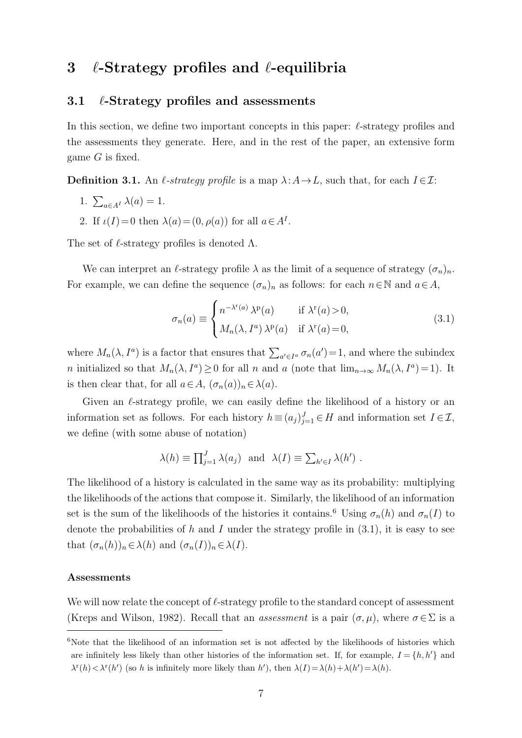# <span id="page-6-0"></span>3  $\ell$ -Strategy profiles and  $\ell$ -equilibria

### 3.1  $\ell$ -Strategy profiles and assessments

In this section, we define two important concepts in this paper:  $\ell$ -strategy profiles and the assessments they generate. Here, and in the rest of the paper, an extensive form game  $G$  is fixed.

<span id="page-6-3"></span>**Definition 3.1.** An  $\ell$ -strategy profile is a map  $\lambda: A \to L$ , such that, for each  $I \in \mathcal{I}:$ 

- 1.  $\sum_{a \in A^I} \lambda(a) = 1$ .
- 2. If  $\iota(I)=0$  then  $\lambda(a)=(0,\rho(a))$  for all  $a\in A^I$ .

The set of  $\ell$ -strategy profiles is denoted  $\Lambda$ .

We can interpret an  $\ell$ -strategy profile  $\lambda$  as the limit of a sequence of strategy  $(\sigma_n)_n$ . For example, we can define the sequence  $(\sigma_n)_n$  as follows: for each  $n \in \mathbb{N}$  and  $a \in A$ ,

<span id="page-6-2"></span>
$$
\sigma_n(a) \equiv \begin{cases} n^{-\lambda^r(a)} \lambda^p(a) & \text{if } \lambda^r(a) > 0, \\ M_n(\lambda, I^a) \lambda^p(a) & \text{if } \lambda^r(a) = 0, \end{cases}
$$
\n(3.1)

where  $M_n(\lambda, I^a)$  is a factor that ensures that  $\sum_{a'\in I^a} \sigma_n(a') = 1$ , and where the subindex *n* initialized so that  $M_n(\lambda, I^a) \geq 0$  for all *n* and *a* (note that  $\lim_{n\to\infty} M_n(\lambda, I^a) = 1$ ). It is then clear that, for all  $a \in A$ ,  $(\sigma_n(a))_n \in \lambda(a)$ .

Given an  $\ell$ -strategy profile, we can easily define the likelihood of a history or an information set as follows. For each history  $h \equiv (a_j)_{j=1}^J \in H$  and information set  $I \in \mathcal{I}$ , we define (with some abuse of notation)

$$
\lambda(h) \equiv \prod_{j=1}^{J} \lambda(a_j)
$$
 and  $\lambda(I) \equiv \sum_{h' \in I} \lambda(h')$ .

The likelihood of a history is calculated in the same way as its probability: multiplying the likelihoods of the actions that compose it. Similarly, the likelihood of an information set is the sum of the likelihoods of the histories it contains.<sup>[6](#page-6-1)</sup> Using  $\sigma_n(h)$  and  $\sigma_n(I)$  to denote the probabilities of h and I under the strategy profile in  $(3.1)$ , it is easy to see that  $(\sigma_n(h))_n \in \lambda(h)$  and  $(\sigma_n(I))_n \in \lambda(I)$ .

#### Assessments

We will now relate the concept of  $\ell$ -strategy profile to the standard concept of assessment [\(Kreps and Wilson,](#page-22-0) [1982\)](#page-22-0). Recall that an *assessment* is a pair  $(\sigma, \mu)$ , where  $\sigma \in \Sigma$  is a

<span id="page-6-1"></span> $6N$ ote that the likelihood of an information set is not affected by the likelihoods of histories which are infinitely less likely than other histories of the information set. If, for example,  $I = \{h, h'\}$  and  $\lambda^{r}(h) < \lambda^{r}(h')$  (so h is infinitely more likely than h'), then  $\lambda(I) = \lambda(h) + \lambda(h') = \lambda(h)$ .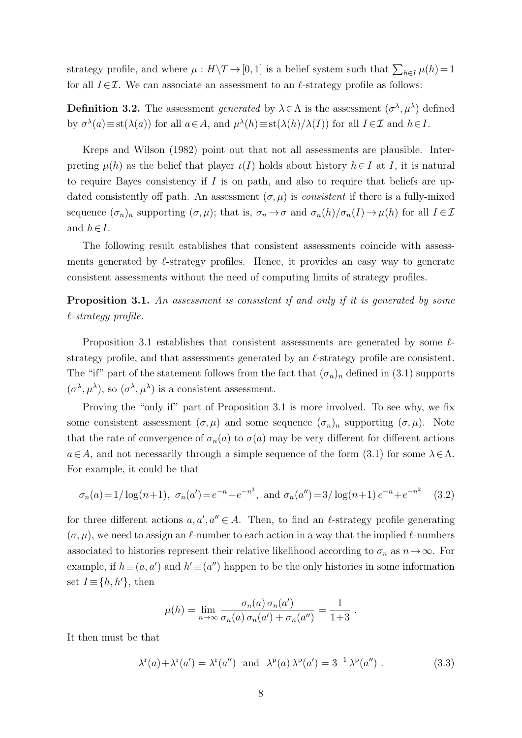strategy profile, and where  $\mu : H \backslash T \to [0, 1]$  is a belief system such that  $\sum_{h \in I} \mu(h) = 1$ for all  $I \in \mathcal{I}$ . We can associate an assessment to an  $\ell$ -strategy profile as follows:

<span id="page-7-2"></span>**Definition 3.2.** The assessment *generated* by  $\lambda \in \Lambda$  is the assessment  $(\sigma^{\lambda}, \mu^{\lambda})$  defined by  $\sigma^{\lambda}(a) \equiv \text{st}(\lambda(a))$  for all  $a \in A$ , and  $\mu^{\lambda}(h) \equiv \text{st}(\lambda(h)/\lambda(I))$  for all  $I \in \mathcal{I}$  and  $h \in I$ .

[Kreps and Wilson](#page-22-0) [\(1982\)](#page-22-0) point out that not all assessments are plausible. Interpreting  $\mu(h)$  as the belief that player  $\iota(I)$  holds about history  $h \in I$  at I, it is natural to require Bayes consistency if  $I$  is on path, and also to require that beliefs are updated consistently off path. An assessment  $(\sigma, \mu)$  is *consistent* if there is a fully-mixed sequence  $(\sigma_n)_n$  supporting  $(\sigma, \mu)$ ; that is,  $\sigma_n \to \sigma$  and  $\sigma_n(h)/\sigma_n(I) \to \mu(h)$  for all  $I \in \mathcal{I}$ and  $h \in I$ .

The following result establishes that consistent assessments coincide with assessments generated by  $\ell$ -strategy profiles. Hence, it provides an easy way to generate consistent assessments without the need of computing limits of strategy profiles.

<span id="page-7-0"></span>**Proposition 3.1.** An assessment is consistent if and only if it is generated by some  $\ell$ -strategy profile.

Proposition [3.1](#page-7-0) establishes that consistent assessments are generated by some  $\ell$ strategy profile, and that assessments generated by an  $\ell$ -strategy profile are consistent. The "if" part of the statement follows from the fact that  $(\sigma_n)_n$  defined in [\(3.1\)](#page-6-2) supports  $(\sigma^{\lambda}, \mu^{\lambda})$ , so  $(\sigma^{\lambda}, \mu^{\lambda})$  is a consistent assessment.

Proving the "only if" part of Proposition [3.1](#page-7-0) is more involved. To see why, we fix some consistent assessment  $(\sigma, \mu)$  and some sequence  $(\sigma_n)_n$  supporting  $(\sigma, \mu)$ . Note that the rate of convergence of  $\sigma_n(a)$  to  $\sigma(a)$  may be very different for different actions  $a \in A$ , and not necessarily through a simple sequence of the form  $(3.1)$  for some  $\lambda \in \Lambda$ . For example, it could be that

$$
\sigma_n(a) = 1/\log(n+1)
$$
,  $\sigma_n(a') = e^{-n} + e^{-n^3}$ , and  $\sigma_n(a'') = 3/\log(n+1) e^{-n} + e^{-n^2}$  (3.2)

for three different actions  $a, a', a'' \in A$ . Then, to find an  $\ell$ -strategy profile generating  $(\sigma, \mu)$ , we need to assign an  $\ell$ -number to each action in a way that the implied  $\ell$ -numbers associated to histories represent their relative likelihood according to  $\sigma_n$  as  $n\to\infty$ . For example, if  $h \equiv (a, a')$  and  $h' \equiv (a'')$  happen to be the only histories in some information set  $I \equiv \{h, h'\},\$  then

<span id="page-7-1"></span>
$$
\mu(h) = \lim_{n \to \infty} \frac{\sigma_n(a) \sigma_n(a')}{\sigma_n(a) \sigma_n(a') + \sigma_n(a'')} = \frac{1}{1+3} .
$$

It then must be that

$$
\lambda^{\mathbf{r}}(a) + \lambda^{\mathbf{r}}(a') = \lambda^{\mathbf{r}}(a'') \quad \text{and} \quad \lambda^{\mathbf{p}}(a) \lambda^{\mathbf{p}}(a') = 3^{-1} \lambda^{\mathbf{p}}(a'') \ . \tag{3.3}
$$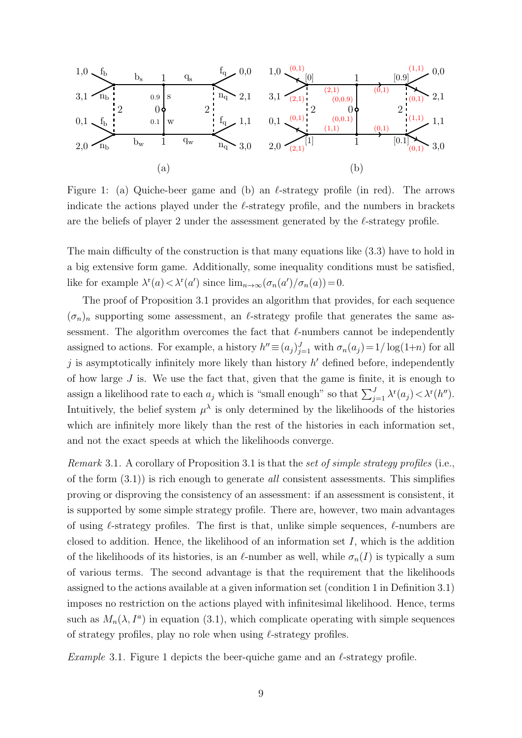

<span id="page-8-0"></span>Figure 1: (a) Quiche-beer game and (b) an  $\ell$ -strategy profile (in red). The arrows indicate the actions played under the  $\ell$ -strategy profile, and the numbers in brackets are the beliefs of player 2 under the assessment generated by the  $\ell$ -strategy profile.

The main difficulty of the construction is that many equations like [\(3.3\)](#page-7-1) have to hold in a big extensive form game. Additionally, some inequality conditions must be satisfied, like for example  $\lambda^r(a) < \lambda^r(a')$  since  $\lim_{n \to \infty} (\sigma_n(a')/\sigma_n(a)) = 0$ .

The proof of Proposition [3.1](#page-7-0) provides an algorithm that provides, for each sequence  $(\sigma_n)_n$  supporting some assessment, an  $\ell$ -strategy profile that generates the same assessment. The algorithm overcomes the fact that  $\ell$ -numbers cannot be independently assigned to actions. For example, a history  $h'' \equiv (a_j)_{j=1}^J$  with  $\sigma_n(a_j) = 1/\log(1+n)$  for all  $j$  is asymptotically infinitely more likely than history  $h'$  defined before, independently of how large  $J$  is. We use the fact that, given that the game is finite, it is enough to assign a likelihood rate to each  $a_j$  which is "small enough" so that  $\sum_{j=1}^{J} \lambda^r(a_j) < \lambda^r(h'')$ . Intuitively, the belief system  $\mu^{\lambda}$  is only determined by the likelihoods of the histories which are infinitely more likely than the rest of the histories in each information set. and not the exact speeds at which the likelihoods converge.

*Remark* [3.1](#page-7-0). A corollary of Proposition 3.1 is that the set of simple strategy profiles (i.e., of the form  $(3.1)$  is rich enough to generate *all* consistent assessments. This simplifies proving or disproving the consistency of an assessment: if an assessment is consistent, it is supported by some simple strategy profile. There are, however, two main advantages of using  $\ell$ -strategy profiles. The first is that, unlike simple sequences,  $\ell$ -numbers are closed to addition. Hence, the likelihood of an information set  $I$ , which is the addition of the likelihoods of its histories, is an  $\ell$ -number as well, while  $\sigma_n(I)$  is typically a sum of various terms. The second advantage is that the requirement that the likelihoods assigned to the actions available at a given information set (condition 1 in Definition [3.1\)](#page-6-3) imposes no restriction on the actions played with infinitesimal likelihood. Hence, terms such as  $M_n(\lambda, I^a)$  in equation [\(3.1\)](#page-6-2), which complicate operating with simple sequences of strategy profiles, play no role when using  $\ell$ -strategy profiles.

<span id="page-8-1"></span>Example 3.[1](#page-8-0). Figure 1 depicts the beer-quiche game and an  $\ell$ -strategy profile.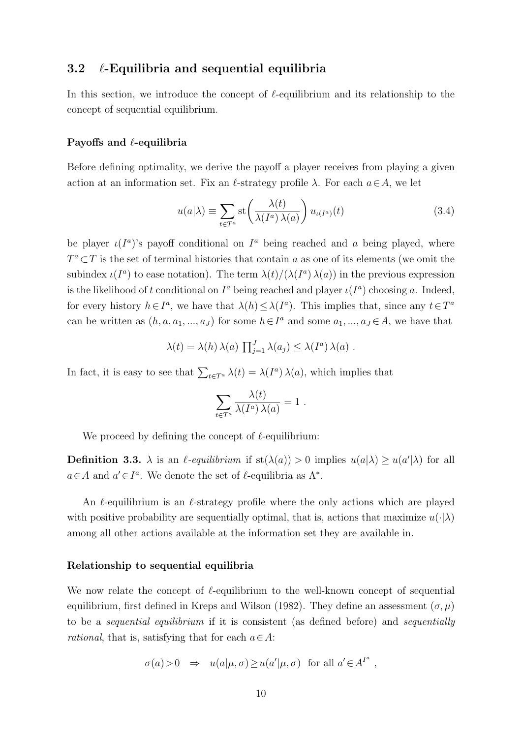# 3.2  $\ell$ -Equilibria and sequential equilibria

In this section, we introduce the concept of  $\ell$ -equilibrium and its relationship to the concept of sequential equilibrium.

### Payoffs and  $\ell$ -equilibria

Before defining optimality, we derive the payoff a player receives from playing a given action at an information set. Fix an  $\ell$ -strategy profile  $\lambda$ . For each  $a \in A$ , we let

<span id="page-9-1"></span>
$$
u(a|\lambda) \equiv \sum_{t \in T^a} \operatorname{st}\left(\frac{\lambda(t)}{\lambda(I^a)\lambda(a)}\right) u_{\iota(I^a)}(t) \tag{3.4}
$$

be player  $\iota(I^a)$ 's payoff conditional on  $I^a$  being reached and a being played, where  $T^a\subset T$  is the set of terminal histories that contain a as one of its elements (we omit the subindex  $\iota(I^a)$  to ease notation). The term  $\lambda(t)/(\lambda(I^a)\lambda(a))$  in the previous expression is the likelihood of t conditional on  $I^a$  being reached and player  $\iota(I^a)$  choosing a. Indeed, for every history  $h \in I^a$ , we have that  $\lambda(h) \leq \lambda(I^a)$ . This implies that, since any  $t \in T^a$ can be written as  $(h, a, a_1, ..., a_J)$  for some  $h \in I^a$  and some  $a_1, ..., a_J \in A$ , we have that

$$
\lambda(t) = \lambda(h)\,\lambda(a)\,\prod_{j=1}^J \lambda(a_j) \leq \lambda(I^a)\,\lambda(a) .
$$

In fact, it is easy to see that  $\sum_{t\in T^a} \lambda(t) = \lambda(I^a) \lambda(a)$ , which implies that

$$
\sum_{t \in T^a} \frac{\lambda(t)}{\lambda(I^a) \lambda(a)} = 1.
$$

We proceed by defining the concept of  $\ell$ -equilibrium:

<span id="page-9-0"></span>**Definition 3.3.**  $\lambda$  is an  $\ell$ -equilibrium if st( $\lambda(a)$ ) > 0 implies  $u(a|\lambda) \geq u(a'|\lambda)$  for all  $a \in A$  and  $a' \in I^a$ . We denote the set of  $\ell$ -equilibria as  $\Lambda^*$ .

An  $\ell$ -equilibrium is an  $\ell$ -strategy profile where the only actions which are played with positive probability are sequentially optimal, that is, actions that maximize  $u(\cdot|\lambda)$ among all other actions available at the information set they are available in.

### Relationship to sequential equilibria

We now relate the concept of  $\ell$ -equilibrium to the well-known concept of sequential equilibrium, first defined in [Kreps and Wilson](#page-22-0) [\(1982\)](#page-22-0). They define an assessment  $(\sigma, \mu)$ to be a sequential equilibrium if it is consistent (as defined before) and sequentially *rational*, that is, satisfying that for each  $a \in A$ :

$$
\sigma(a) > 0 \quad \Rightarrow \quad u(a|\mu, \sigma) \ge u(a'|\mu, \sigma) \quad \text{for all } a' \in A^{I^a} \ ,
$$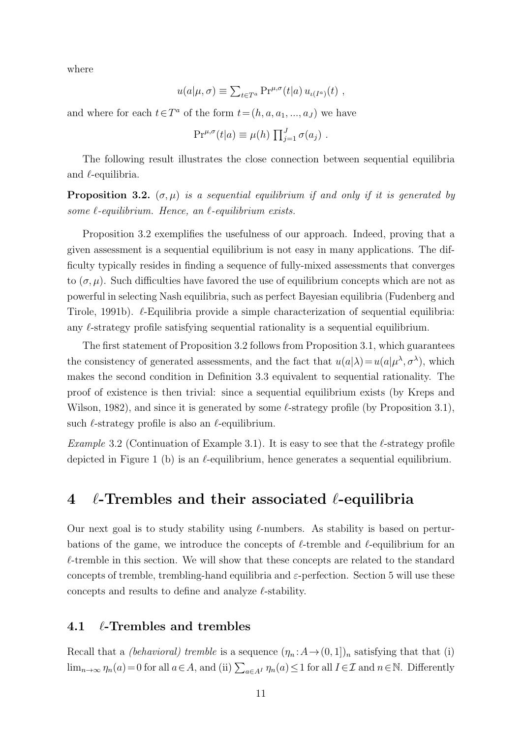where

$$
u(a|\mu,\sigma) \equiv \sum_{t \in T^a} \Pr^{\mu,\sigma}(t|a) u_{\iota(I^a)}(t) ,
$$

and where for each  $t \in T^a$  of the form  $t = (h, a, a_1, ..., a_J)$  we have

$$
\Pr^{\mu,\sigma}(t|a) \equiv \mu(h) \prod_{j=1}^{J} \sigma(a_j) .
$$

The following result illustrates the close connection between sequential equilibria and  $\ell$ -equilibria.

<span id="page-10-1"></span>**Proposition 3.2.**  $(\sigma, \mu)$  is a sequential equilibrium if and only if it is generated by some  $\ell$ -equilibrium. Hence, an  $\ell$ -equilibrium exists.

Proposition [3.2](#page-10-1) exemplifies the usefulness of our approach. Indeed, proving that a given assessment is a sequential equilibrium is not easy in many applications. The difficulty typically resides in finding a sequence of fully-mixed assessments that converges to  $(\sigma, \mu)$ . Such difficulties have favored the use of equilibrium concepts which are not as powerful in selecting Nash equilibria, such as perfect Bayesian equilibria [\(Fudenberg and](#page-22-2) [Tirole,](#page-22-2) [1991b\)](#page-22-2).  $\ell$ -Equilibria provide a simple characterization of sequential equilibria: any  $\ell$ -strategy profile satisfying sequential rationality is a sequential equilibrium.

The first statement of Proposition [3.2](#page-10-1) follows from Proposition [3.1,](#page-7-0) which guarantees the consistency of generated assessments, and the fact that  $u(a|\lambda) = u(a|\mu^{\lambda}, \sigma^{\lambda})$ , which makes the second condition in Definition [3.3](#page-9-0) equivalent to sequential rationality. The proof of existence is then trivial: since a sequential equilibrium exists (by [Kreps and](#page-22-0) [Wilson,](#page-22-0) [1982\)](#page-22-0), and since it is generated by some  $\ell$ -strategy profile (by Proposition [3.1\)](#page-7-0), such  $\ell$ -strategy profile is also an  $\ell$ -equilibrium.

<span id="page-10-2"></span>*Example* 3.2 (Continuation of Example [3.1\)](#page-8-1). It is easy to see that the  $\ell$ -strategy profile depicted in Figure [1](#page-8-0) (b) is an  $\ell$ -equilibrium, hence generates a sequential equilibrium.

# <span id="page-10-0"></span>4  $\ell$ -Trembles and their associated  $\ell$ -equilibria

Our next goal is to study stability using  $\ell$ -numbers. As stability is based on perturbations of the game, we introduce the concepts of  $\ell$ -tremble and  $\ell$ -equilibrium for an  $\ell$ -tremble in this section. We will show that these concepts are related to the standard concepts of tremble, trembling-hand equilibria and  $\varepsilon$ -perfection. Section [5](#page-14-0) will use these concepts and results to define and analyze  $\ell$ -stability.

### 4.1  $\ell$ -Trembles and trembles

Recall that a *(behavioral) tremble* is a sequence  $(\eta_n : A \to (0, 1])_n$  satisfying that that (i)  $\lim_{n\to\infty}\eta_n(a)=0$  for all  $a\in A$ , and (ii)  $\sum_{a\in A^I}\eta_n(a)\leq 1$  for all  $I\in\mathcal{I}$  and  $n\in\mathbb{N}$ . Differently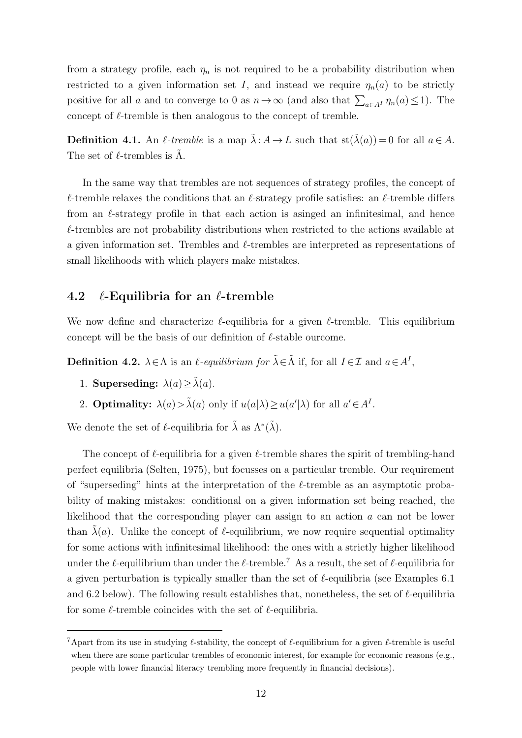from a strategy profile, each  $\eta_n$  is not required to be a probability distribution when restricted to a given information set I, and instead we require  $\eta_n(a)$  to be strictly positive for all a and to converge to 0 as  $n \to \infty$  (and also that  $\sum_{a \in A^I} \eta_n(a) \leq 1$ ). The concept of  $\ell$ -tremble is then analogous to the concept of tremble.

**Definition 4.1.** An  $\ell$ -tremble is a map  $\tilde{\lambda}: A \to L$  such that  $st(\tilde{\lambda}(a)) = 0$  for all  $a \in A$ . The set of  $\ell$ -trembles is  $\Lambda$ .

In the same way that trembles are not sequences of strategy profiles, the concept of  $\ell$ -tremble relaxes the conditions that an  $\ell$ -strategy profile satisfies: an  $\ell$ -tremble differs from an  $\ell$ -strategy profile in that each action is asinged an infinitesimal, and hence  $\ell$ -trembles are not probability distributions when restricted to the actions available at a given information set. Trembles and  $\ell$ -trembles are interpreted as representations of small likelihoods with which players make mistakes.

# 4.2  $\ell$ -Equilibria for an  $\ell$ -tremble

We now define and characterize  $\ell$ -equilibria for a given  $\ell$ -tremble. This equilibrium concept will be the basis of our definition of  $\ell$ -stable ourcome.

<span id="page-11-1"></span>**Definition 4.2.**  $\lambda \in \Lambda$  is an  $\ell$ -equilibrium for  $\tilde{\lambda} \in \tilde{\Lambda}$  if, for all  $I \in \mathcal{I}$  and  $a \in A^I$ ,

- 1. Superseding:  $\lambda(a) \geq \tilde{\lambda}(a)$ .
- 2. **Optimality:**  $\lambda(a) > \tilde{\lambda}(a)$  only if  $u(a|\lambda) \ge u(a'|\lambda)$  for all  $a' \in A<sup>I</sup>$ .

We denote the set of  $\ell$ -equilibria for  $\tilde{\lambda}$  as  $\Lambda^*(\tilde{\lambda})$ .

The concept of  $\ell$ -equilibria for a given  $\ell$ -tremble shares the spirit of trembling-hand perfect equilibria [\(Selten,](#page-23-2) [1975\)](#page-23-2), but focusses on a particular tremble. Our requirement of "superseding" hints at the interpretation of the  $\ell$ -tremble as an asymptotic probability of making mistakes: conditional on a given information set being reached, the likelihood that the corresponding player can assign to an action a can not be lower than  $\tilde{\lambda}(a)$ . Unlike the concept of  $\ell$ -equilibrium, we now require sequential optimality for some actions with infinitesimal likelihood: the ones with a strictly higher likelihood under the  $\ell$ -equilibrium than under the  $\ell$ -tremble.<sup>[7](#page-11-0)</sup> As a result, the set of  $\ell$ -equilibria for a given perturbation is typically smaller than the set of  $\ell$ -equilibria (see Examples [6.1](#page-20-1)) and [6.2](#page-20-2) below). The following result establishes that, nonetheless, the set of  $\ell$ -equilibria for some  $\ell$ -tremble coincides with the set of  $\ell$ -equilibria.

<span id="page-11-0"></span><sup>&</sup>lt;sup>7</sup>Apart from its use in studying  $\ell$ -stability, the concept of  $\ell$ -equilibrium for a given  $\ell$ -tremble is useful when there are some particular trembles of economic interest, for example for economic reasons (e.g., people with lower financial literacy trembling more frequently in financial decisions).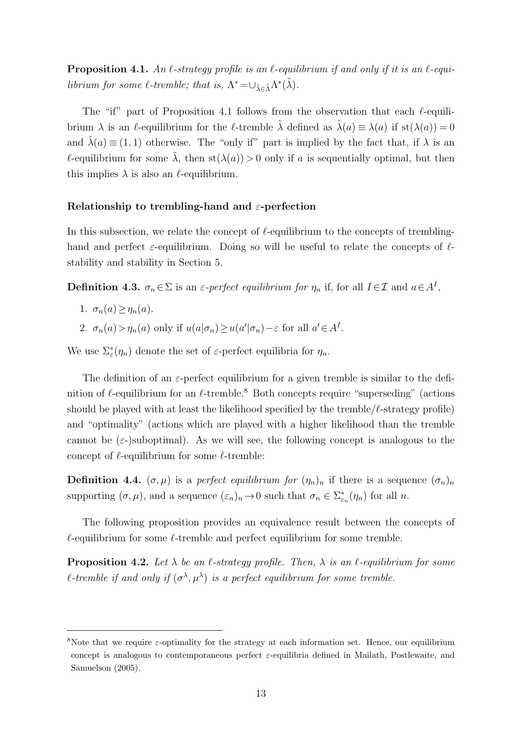<span id="page-12-0"></span>**Proposition 4.1.** An  $\ell$ -strategy profile is an  $\ell$ -equilibrium if and only if it is an  $\ell$ -equilibrium for some  $\ell$ -tremble; that is,  $\Lambda^* = \cup_{\tilde{\lambda} \in \tilde{\Lambda}} \Lambda^*(\tilde{\lambda})$ .

The "if" part of Proposition [4.1](#page-12-0) follows from the observation that each  $\ell$ -equilibrium  $\lambda$  is an  $\ell$ -equilibrium for the  $\ell$ -tremble  $\tilde{\lambda}$  defined as  $\tilde{\lambda}(a) \equiv \lambda(a)$  if st $(\lambda(a)) = 0$ and  $\tilde{\lambda}(a) \equiv (1, 1)$  otherwise. The "only if" part is implied by the fact that, if  $\lambda$  is an  $\ell$ -equilibrium for some  $\tilde{\lambda}$ , then st( $\lambda(a)$ ) > 0 only if a is sequentially optimal, but then this implies  $\lambda$  is also an  $\ell$ -equilibrium.

### Relationship to trembling-hand and  $\varepsilon$ -perfection

In this subsection, we relate the concept of  $\ell$ -equilibrium to the concepts of tremblinghand and perfect  $\varepsilon$ -equilibrium. Doing so will be useful to relate the concepts of  $\ell$ stability and stability in Section [5.](#page-14-0)

<span id="page-12-4"></span>**Definition 4.3.**  $\sigma_n \in \Sigma$  is an  $\varepsilon$ -perfect equilibrium for  $\eta_n$  if, for all  $I \in \mathcal{I}$  and  $a \in A^I$ ,

- 1.  $\sigma_n(a) > \eta_n(a)$ .
- 2.  $\sigma_n(a) > \eta_n(a)$  only if  $u(a|\sigma_n) \ge u(a'|\sigma_n) \varepsilon$  for all  $a' \in A<sup>I</sup>$ .

We use  $\Sigma_{\varepsilon}^*(\eta_n)$  denote the set of  $\varepsilon$ -perfect equilibria for  $\eta_n$ .

The definition of an  $\varepsilon$ -perfect equilibrium for a given tremble is similar to the definition of  $\ell$ -equilibrium for an  $\ell$ -tremble.<sup>[8](#page-12-1)</sup> Both concepts require "superseding" (actions should be played with at least the likelihood specified by the tremble/ $\ell$ -strategy profile) and "optimality" (actions which are played with a higher likelihood than the tremble cannot be  $(\varepsilon)$ -suboptimal). As we will see, the following concept is analogous to the concept of  $\ell$ -equilibrium for some  $\ell$ -tremble:

<span id="page-12-3"></span>**Definition 4.4.**  $(\sigma, \mu)$  is a *perfect equilibrium for*  $(\eta_n)_n$  if there is a sequence  $(\sigma_n)_n$ supporting  $(\sigma, \mu)$ , and a sequence  $(\varepsilon_n)_n \to 0$  such that  $\sigma_n \in \Sigma_{\varepsilon_n}^*(\eta_n)$  for all n.

The following proposition provides an equivalence result between the concepts of  $\ell$ -equilibrium for some  $\ell$ -tremble and perfect equilibrium for some tremble.

<span id="page-12-2"></span>**Proposition 4.2.** Let  $\lambda$  be an  $\ell$ -strategy profile. Then,  $\lambda$  is an  $\ell$ -equilibrium for some l-tremble if and only if  $(\sigma^{\lambda}, \mu^{\lambda})$  is a perfect equilibrium for some tremble.

<span id="page-12-1"></span><sup>&</sup>lt;sup>8</sup>Note that we require  $\varepsilon$ -optimality for the strategy at each information set. Hence, our equilibrium concept is analogous to contemporaneous perfect  $\varepsilon$ -equilibria defined in [Mailath, Postlewaite, and](#page-22-12) [Samuelson](#page-22-12) [\(2005\)](#page-22-12).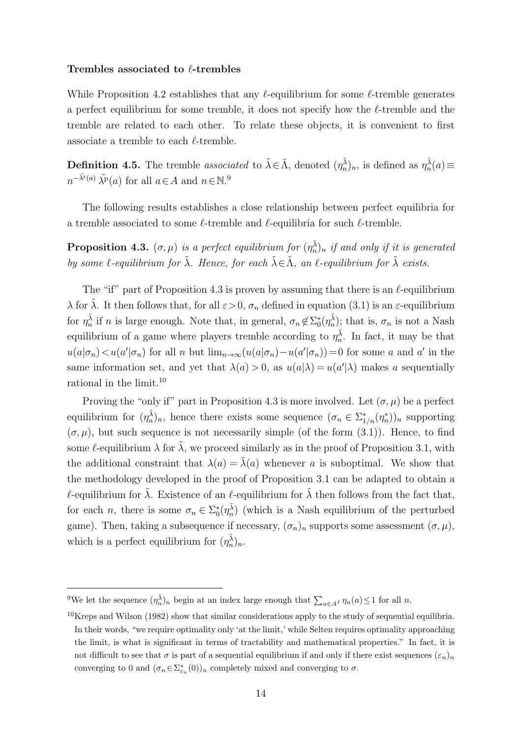#### Trembles associated to  $\ell$ -trembles

While Proposition [4.2](#page-12-2) establishes that any  $\ell$ -equilibrium for some  $\ell$ -tremble generates a perfect equilibrium for some tremble, it does not specify how the  $\ell$ -tremble and the tremble are related to each other. To relate these objects, it is convenient to first associate a tremble to each  $\ell$ -tremble.

<span id="page-13-3"></span>**Definition 4.5.** The tremble associated to  $\tilde{\lambda} \in \tilde{\Lambda}$ , denoted  $(\eta_n^{\tilde{\lambda}})_n$ , is defined as  $\eta_n^{\tilde{\lambda}}(a) \equiv$  $n^{-\tilde{\lambda}^{\mathbf{r}}(a)} \tilde{\lambda^{\mathbf{p}}}(a)$  for all  $a \in A$  and  $n \in \mathbb{N}$ .<sup>[9](#page-13-0)</sup>

The following results establishes a close relationship between perfect equilibria for a tremble associated to some  $\ell$ -tremble and  $\ell$ -equilibria for such  $\ell$ -tremble.

<span id="page-13-1"></span>**Proposition 4.3.**  $(\sigma, \mu)$  is a perfect equilibrium for  $(\eta_n^{\tilde{\lambda}})$ <sub>n</sub> if and only if it is generated by some  $\ell$ -equilibrium for  $\tilde{\lambda}$ . Hence, for each  $\tilde{\lambda} \in \tilde{\Lambda}$ , an  $\ell$ -equilibrium for  $\tilde{\lambda}$  exists.

The "if" part of Proposition [4.3](#page-13-1) is proven by assuming that there is an  $\ell$ -equilibrium  $\lambda$  for  $\tilde{\lambda}$ . It then follows that, for all  $\varepsilon > 0$ ,  $\sigma_n$  defined in equation [\(3.1\)](#page-6-2) is an  $\varepsilon$ -equilibrium for  $\eta_n^{\tilde{\lambda}}$  if n is large enough. Note that, in general,  $\sigma_n \notin \Sigma_0^*(\eta_n^{\tilde{\lambda}})$ ; that is,  $\sigma_n$  is not a Nash equilibrium of a game where players tremble according to  $\eta_n^{\tilde{\lambda}}$ . In fact, it may be that  $u(a|\sigma_n) < u(a'|\sigma_n)$  for all n but  $\lim_{n\to\infty} (u(a|\sigma_n) - u(a'|\sigma_n)) = 0$  for some a and a' in the same information set, and yet that  $\lambda(a) > 0$ , as  $u(a|\lambda) = u(a'|\lambda)$  makes a sequentially rational in the limit.[10](#page-13-2)

Proving the "only if" part in Proposition [4.3](#page-13-1) is more involved. Let  $(\sigma, \mu)$  be a perfect equilibrium for  $(\eta_n^{\tilde{\lambda}})_n$ , hence there exists some sequence  $(\sigma_n \in \Sigma_{1/n}^*(\eta_n^*))_n$  supporting  $(\sigma, \mu)$ , but such sequence is not necessarily simple (of the form [\(3.1\)](#page-6-2)). Hence, to find some  $\ell$ -equilibrium  $\lambda$  for  $\tilde{\lambda}$ , we proceed similarly as in the proof of Proposition [3.1,](#page-7-0) with the additional constraint that  $\lambda(a) = \lambda(a)$  whenever a is suboptimal. We show that the methodology developed in the proof of Proposition [3.1](#page-7-0) can be adapted to obtain a  $\ell$ -equilibrium for  $\tilde{\lambda}$ . Existence of an  $\ell$ -equilibrium for  $\tilde{\lambda}$  then follows from the fact that, for each *n*, there is some  $\sigma_n \in \sum_{0}^{*} (\eta_n^{\tilde{\lambda}})$  (which is a Nash equilibrium of the perturbed game). Then, taking a subsequence if necessary,  $(\sigma_n)_n$  supports some assessment  $(\sigma, \mu)$ , which is a perfect equilibrium for  $(\eta_n^{\tilde{\lambda}})_n$ .

<span id="page-13-0"></span><sup>&</sup>lt;sup>9</sup>We let the sequence  $(\eta_n^{\tilde{\lambda}})_n$  begin at an index large enough that  $\sum_{a \in A^I} \eta_n(a) \leq 1$  for all n.

<span id="page-13-2"></span> $10$ [Kreps and Wilson](#page-22-0) [\(1982\)](#page-22-0) show that similar considerations apply to the study of sequential equilibria. In their words, "we require optimality only 'at the limit,' while Selten requires optimality approaching the limit, is what is significant in terms of tractability and mathematical properties." In fact, it is not difficult to see that  $\sigma$  is part of a sequential equilibrium if and only if there exist sequences  $(\varepsilon_n)_n$ converging to 0 and  $(\sigma_n \in \sum_{\varepsilon_n}^{\infty} (0))_n$  completely mixed and converging to  $\sigma$ .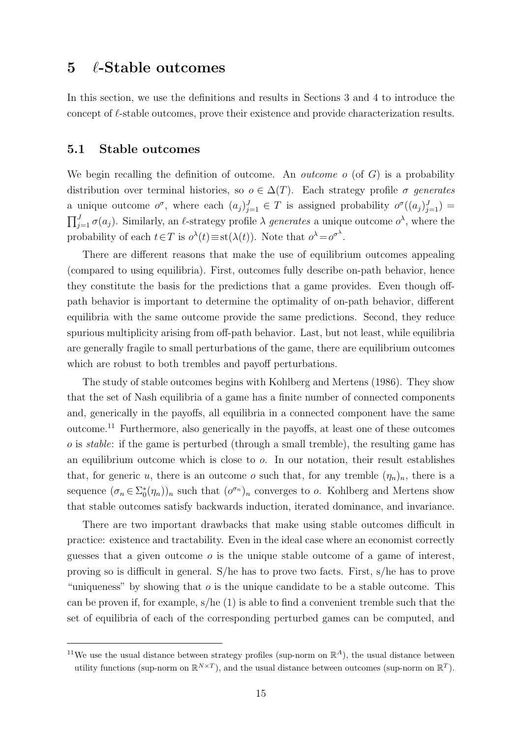# <span id="page-14-0"></span> $5 \quad \ell$ -Stable outcomes

In this section, we use the definitions and results in Sections [3](#page-6-0) and [4](#page-10-0) to introduce the concept of  $\ell$ -stable outcomes, prove their existence and provide characterization results.

### 5.1 Stable outcomes

We begin recalling the definition of outcome. An *outcome*  $o$  (of  $G$ ) is a probability distribution over terminal histories, so  $o \in \Delta(T)$ . Each strategy profile  $\sigma$  generates a unique outcome  $o^{\sigma}$ , where each  $(a_j)_{j=1}^J \in T$  is assigned probability  $o^{\sigma}((a_j)_{j=1}^J)$  =  $\prod_{j=1}^{J} \sigma(a_j)$ . Similarly, an  $\ell$ -strategy profile  $\lambda$  generates a unique outcome  $o^{\lambda}$ , where the probability of each  $t \in T$  is  $o^{\lambda}(t) \equiv \text{st}(\lambda(t))$ . Note that  $o^{\lambda} = o^{\sigma^{\lambda}}$ .

There are different reasons that make the use of equilibrium outcomes appealing (compared to using equilibria). First, outcomes fully describe on-path behavior, hence they constitute the basis for the predictions that a game provides. Even though offpath behavior is important to determine the optimality of on-path behavior, different equilibria with the same outcome provide the same predictions. Second, they reduce spurious multiplicity arising from off-path behavior. Last, but not least, while equilibria are generally fragile to small perturbations of the game, there are equilibrium outcomes which are robust to both trembles and payoff perturbations.

The study of stable outcomes begins with [Kohlberg and Mertens](#page-22-1) [\(1986\)](#page-22-1). They show that the set of Nash equilibria of a game has a finite number of connected components and, generically in the payoffs, all equilibria in a connected component have the same outcome.[11](#page-14-1) Furthermore, also generically in the payoffs, at least one of these outcomes  $\sigma$  is *stable*: if the game is perturbed (through a small tremble), the resulting game has an equilibrium outcome which is close to  $o$ . In our notation, their result establishes that, for generic u, there is an outcome o such that, for any tremble  $(\eta_n)_n$ , there is a sequence  $(\sigma_n \in \Sigma_0^*(\eta_n))_n$  such that  $(\sigma^{\sigma_n})_n$  converges to *o*. [Kohlberg and Mertens](#page-22-1) show that stable outcomes satisfy backwards induction, iterated dominance, and invariance.

There are two important drawbacks that make using stable outcomes difficult in practice: existence and tractability. Even in the ideal case where an economist correctly guesses that a given outcome  $\sigma$  is the unique stable outcome of a game of interest, proving so is difficult in general. S/he has to prove two facts. First, s/he has to prove "uniqueness" by showing that  $\sigma$  is the unique candidate to be a stable outcome. This can be proven if, for example, s/he (1) is able to find a convenient tremble such that the set of equilibria of each of the corresponding perturbed games can be computed, and

<span id="page-14-1"></span><sup>&</sup>lt;sup>11</sup>We use the usual distance between strategy profiles (sup-norm on  $\mathbb{R}^{A}$ ), the usual distance between utility functions (sup-norm on  $\mathbb{R}^{N\times T}$ ), and the usual distance between outcomes (sup-norm on  $\mathbb{R}^T$ ).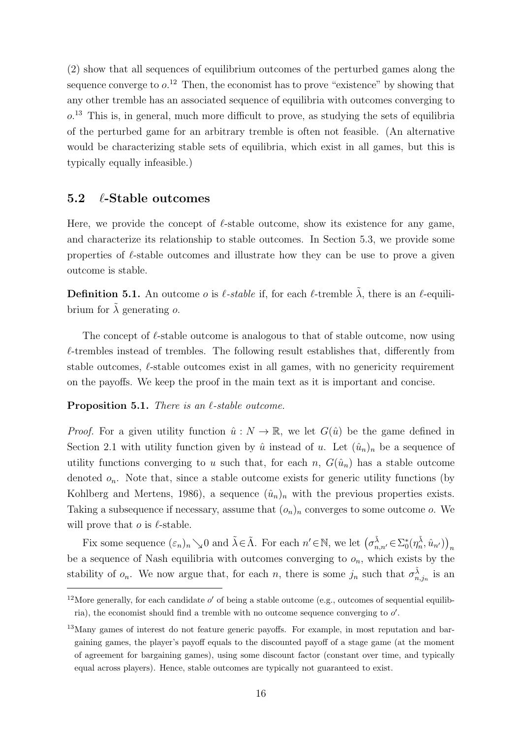(2) show that all sequences of equilibrium outcomes of the perturbed games along the sequence converge to  $o^{12}$  $o^{12}$  $o^{12}$  Then, the economist has to prove "existence" by showing that any other tremble has an associated sequence of equilibria with outcomes converging to  $o$ <sup>[13](#page-15-1)</sup> This is, in general, much more difficult to prove, as studying the sets of equilibria of the perturbed game for an arbitrary tremble is often not feasible. (An alternative would be characterizing stable sets of equilibria, which exist in all games, but this is typically equally infeasible.)

### 5.2  $\ell$ -Stable outcomes

Here, we provide the concept of  $\ell$ -stable outcome, show its existence for any game, and characterize its relationship to stable outcomes. In Section [5.3,](#page-17-0) we provide some properties of  $\ell$ -stable outcomes and illustrate how they can be use to prove a given outcome is stable.

**Definition 5.1.** An outcome *o* is  $\ell$ -stable if, for each  $\ell$ -tremble  $\tilde{\lambda}$ , there is an  $\ell$ -equilibrium for  $\lambda$  generating  $\alpha$ .

The concept of  $\ell$ -stable outcome is analogous to that of stable outcome, now using  $\ell$ -trembles instead of trembles. The following result establishes that, differently from stable outcomes,  $\ell$ -stable outcomes exist in all games, with no genericity requirement on the payoffs. We keep the proof in the main text as it is important and concise.

<span id="page-15-2"></span>**Proposition 5.1.** There is an  $\ell$ -stable outcome.

*Proof.* For a given utility function  $\hat{u}: N \to \mathbb{R}$ , we let  $G(\hat{u})$  be the game defined in Section [2.1](#page-4-2) with utility function given by  $\hat{u}$  instead of u. Let  $(\hat{u}_n)_n$  be a sequence of utility functions converging to u such that, for each n,  $G(\hat{u}_n)$  has a stable outcome denoted  $o_n$ . Note that, since a stable outcome exists for generic utility functions (by [Kohlberg and Mertens,](#page-22-1) [1986\)](#page-22-1), a sequence  $(\hat{u}_n)_n$  with the previous properties exists. Taking a subsequence if necessary, assume that  $(o_n)_n$  converges to some outcome o. We will prove that  $o$  is  $\ell$ -stable.

Fix some sequence  $(\varepsilon_n)_n \searrow 0$  and  $\tilde{\lambda} \in \tilde{\Lambda}$ . For each  $n' \in \mathbb{N}$ , we let  $(\sigma_{n,n'}^{\tilde{\lambda}} \in \Sigma_0^*(\eta_n^{\tilde{\lambda}}, \hat{u}_{n'}) )_{n'}$ be a sequence of Nash equilibria with outcomes converging to  $o_n$ , which exists by the stability of  $o_n$ . We now argue that, for each n, there is some  $j_n$  such that  $\sigma_{n,j_n}^{\tilde{\lambda}}$  is an

<span id="page-15-0"></span><sup>&</sup>lt;sup>12</sup>More generally, for each candidate  $o'$  of being a stable outcome (e.g., outcomes of sequential equilibria), the economist should find a tremble with no outcome sequence converging to  $o'$ .

<span id="page-15-1"></span><sup>&</sup>lt;sup>13</sup>Many games of interest do not feature generic payoffs. For example, in most reputation and bargaining games, the player's payoff equals to the discounted payoff of a stage game (at the moment of agreement for bargaining games), using some discount factor (constant over time, and typically equal across players). Hence, stable outcomes are typically not guaranteed to exist.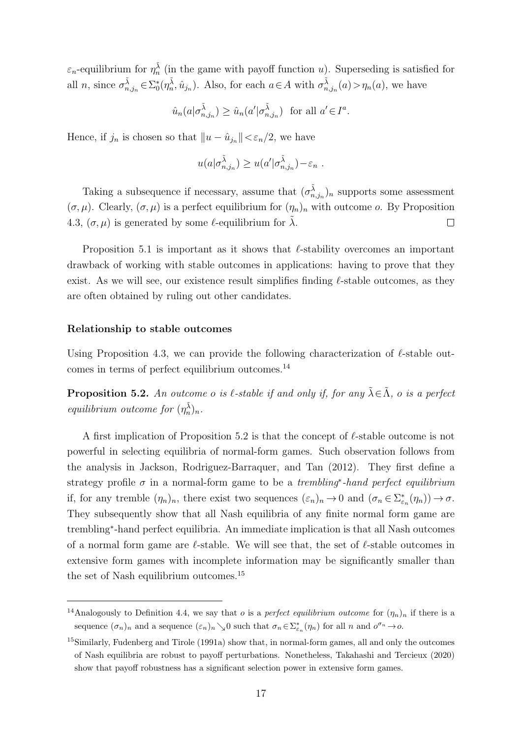$\varepsilon_n$ -equilibrium for  $\eta_n^{\tilde{\lambda}}$  (in the game with payoff function u). Superseding is satisfied for all n, since  $\sigma_{n,j_n}^{\tilde{\lambda}} \in \Sigma_0^*(\eta_n^{\tilde{\lambda}}, \hat{u}_{j_n})$ . Also, for each  $a \in A$  with  $\sigma_{n,j_n}^{\tilde{\lambda}}(a) > \eta_n(a)$ , we have

$$
\hat{u}_n(a|\sigma_{n,j_n}^{\tilde{\lambda}}) \ge \hat{u}_n(a'|\sigma_{n,j_n}^{\tilde{\lambda}}) \text{ for all } a' \in I^a.
$$

Hence, if  $j_n$  is chosen so that  $||u - \hat{u}_{j_n}|| < \varepsilon_n/2$ , we have

$$
u(a|\sigma_{n,j_n}^{\tilde{\lambda}}) \geq u(a'|\sigma_{n,j_n}^{\tilde{\lambda}}) - \varepsilon_n.
$$

Taking a subsequence if necessary, assume that  $(\sigma_{n,j_n}^{\tilde{\lambda}})_n$  supports some assessment  $(\sigma, \mu)$ . Clearly,  $(\sigma, \mu)$  is a perfect equilibrium for  $(\eta_n)_n$  with outcome o. By Proposition [4.3,](#page-13-1)  $(\sigma, \mu)$  is generated by some  $\ell$ -equilibrium for  $\lambda$ .  $\Box$ 

Proposition [5.1](#page-15-2) is important as it shows that  $\ell$ -stability overcomes an important drawback of working with stable outcomes in applications: having to prove that they exist. As we will see, our existence result simplifies finding  $\ell$ -stable outcomes, as they are often obtained by ruling out other candidates.

#### Relationship to stable outcomes

Using Proposition [4.3,](#page-13-1) we can provide the following characterization of  $\ell$ -stable outcomes in terms of perfect equilibrium outcomes.[14](#page-16-0)

<span id="page-16-1"></span>**Proposition 5.2.** An outcome o is  $\ell$ -stable if and only if, for any  $\tilde{\lambda} \in \tilde{\Lambda}$ , o is a perfect equilibrium outcome for  $(\eta_n^{\tilde{\lambda}})_n$ .

A first implication of Proposition [5.2](#page-16-1) is that the concept of  $\ell$ -stable outcome is not powerful in selecting equilibria of normal-form games. Such observation follows from the analysis in [Jackson, Rodriguez-Barraquer, and Tan](#page-22-13) [\(2012\)](#page-22-13). They first define a strategy profile  $\sigma$  in a normal-form game to be a *trembling<sup>\*</sup>*-hand perfect equilibrium if, for any tremble  $(\eta_n)_n$ , there exist two sequences  $(\varepsilon_n)_n \to 0$  and  $(\sigma_n \in \Sigma_{\varepsilon_n}^*(\eta_n)) \to \sigma$ . They subsequently show that all Nash equilibria of any finite normal form game are trembling<sup>∗</sup> -hand perfect equilibria. An immediate implication is that all Nash outcomes of a normal form game are  $\ell$ -stable. We will see that, the set of  $\ell$ -stable outcomes in extensive form games with incomplete information may be significantly smaller than the set of Nash equilibrium outcomes.[15](#page-16-2)

<span id="page-16-0"></span><sup>&</sup>lt;sup>14</sup>Analogously to Definition [4.4,](#page-12-3) we say that *o* is a *perfect equilibrium outcome* for  $(\eta_n)_n$  if there is a sequence  $(\sigma_n)_n$  and a sequence  $(\varepsilon_n)_n \searrow 0$  such that  $\sigma_n \in \Sigma_{\varepsilon_n}^*(\eta_n)$  for all n and  $o^{\sigma_n} \to o$ .

<span id="page-16-2"></span><sup>&</sup>lt;sup>15</sup>Similarly, [Fudenberg and Tirole](#page-22-14) [\(1991a\)](#page-22-14) show that, in normal-form games, all and only the outcomes of Nash equilibria are robust to payoff perturbations. Nonetheless, [Takahashi and Tercieux](#page-23-3) [\(2020\)](#page-23-3) show that payoff robustness has a significant selection power in extensive form games.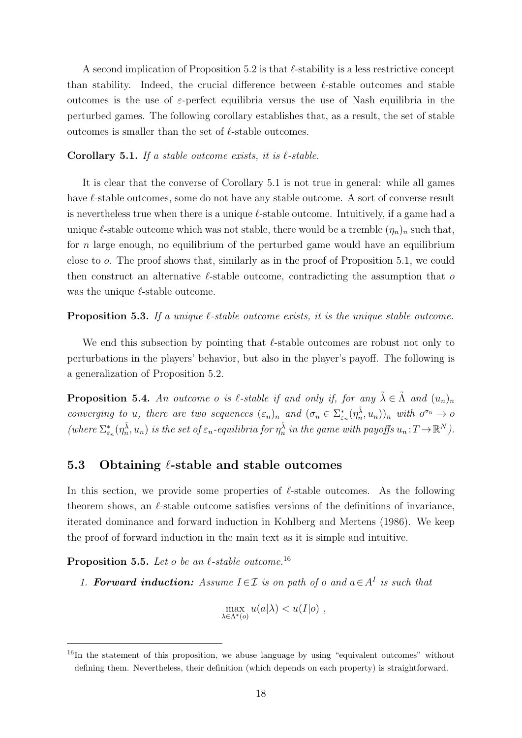A second implication of Proposition [5.2](#page-16-1) is that  $\ell$ -stability is a less restrictive concept than stability. Indeed, the crucial difference between  $\ell$ -stable outcomes and stable outcomes is the use of  $\varepsilon$ -perfect equilibria versus the use of Nash equilibria in the perturbed games. The following corollary establishes that, as a result, the set of stable outcomes is smaller than the set of  $\ell$ -stable outcomes.

### <span id="page-17-1"></span>Corollary 5.1. If a stable outcome exists, it is  $\ell$ -stable.

It is clear that the converse of Corollary [5.1](#page-17-1) is not true in general: while all games have  $\ell$ -stable outcomes, some do not have any stable outcome. A sort of converse result is nevertheless true when there is a unique  $\ell$ -stable outcome. Intuitively, if a game had a unique  $\ell$ -stable outcome which was not stable, there would be a tremble  $(\eta_n)_n$  such that, for *n* large enough, no equilibrium of the perturbed game would have an equilibrium close to o. The proof shows that, similarly as in the proof of Proposition [5.1,](#page-15-2) we could then construct an alternative  $\ell$ -stable outcome, contradicting the assumption that o was the unique  $\ell$ -stable outcome.

### <span id="page-17-4"></span>**Proposition 5.3.** If a unique  $\ell$ -stable outcome exists, it is the unique stable outcome.

We end this subsection by pointing that  $\ell$ -stable outcomes are robust not only to perturbations in the players' behavior, but also in the player's payoff. The following is a generalization of Proposition [5.2.](#page-16-1)

<span id="page-17-5"></span>**Proposition 5.4.** An outcome o is  $\ell$ -stable if and only if, for any  $\tilde{\lambda} \in \tilde{\Lambda}$  and  $(u_n)_n$ converging to u, there are two sequences  $(\varepsilon_n)_n$  and  $(\sigma_n \in \Sigma_{\varepsilon_n}^*(\eta_n^{\tilde{\lambda}}, u_n))_n$  with  $o^{\sigma_n} \to o$ (where  $\Sigma_{\varepsilon_n}^*(\eta_n^{\tilde{\lambda}}, u_n)$  is the set of  $\varepsilon_n$ -equilibria for  $\eta_n^{\tilde{\lambda}}$  in the game with payoffs  $u_n : T \to \mathbb{R}^N$ ).

# <span id="page-17-0"></span>5.3 Obtaining  $\ell$ -stable and stable outcomes

In this section, we provide some properties of  $\ell$ -stable outcomes. As the following theorem shows, an  $\ell$ -stable outcome satisfies versions of the definitions of invariance, iterated dominance and forward induction in [Kohlberg and Mertens](#page-22-1) [\(1986\)](#page-22-1). We keep the proof of forward induction in the main text as it is simple and intuitive.

<span id="page-17-3"></span>**Proposition 5.5.** Let o be an  $\ell$ -stable outcome.<sup>[16](#page-17-2)</sup>

1. Forward induction: Assume  $I \in \mathcal{I}$  is on path of o and  $a \in A^I$  is such that

$$
\max_{\lambda \in \Lambda^*(o)} u(a|\lambda) < u(I|o) \ ,
$$

<span id="page-17-2"></span> $16$ In the statement of this proposition, we abuse language by using "equivalent outcomes" without defining them. Nevertheless, their definition (which depends on each property) is straightforward.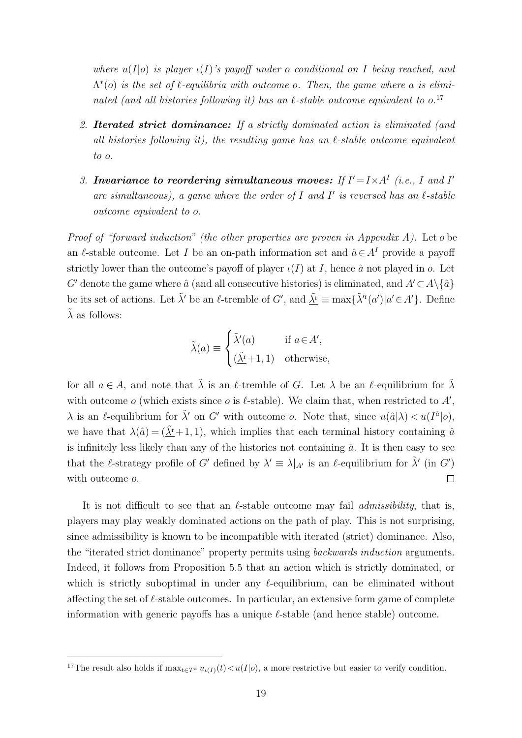where  $u(I|o)$  is player  $u(I)$ 's payoff under o conditional on I being reached, and  $\Lambda^*(o)$  is the set of  $\ell$ -equilibria with outcome o. Then, the game where a is eliminated (and all histories following it) has an  $\ell$ -stable outcome equivalent to o.<sup>[17](#page-18-0)</sup>

- 2. Iterated strict dominance: If a strictly dominated action is eliminated (and all histories following it), the resulting game has an  $\ell$ -stable outcome equivalent to o.
- 3. Invariance to reordering simultaneous moves: If  $I' = I \times A^I$  (i.e., I and I' are simultaneous), a game where the order of I and I' is reversed has an  $\ell$ -stable outcome equivalent to o.

Proof of "forward induction" (the other properties are proven in Appendix [A\)](#page-24-0). Let o be an  $\ell$ -stable outcome. Let I be an on-path information set and  $\hat{a} \in A<sup>I</sup>$  provide a payoff strictly lower than the outcome's payoff of player  $\iota(I)$  at I, hence  $\hat{a}$  not played in  $o$ . Let G' denote the game where  $\hat{a}$  (and all consecutive histories) is eliminated, and  $A' \subset A \setminus \{\hat{a}\}\$ be its set of actions. Let  $\tilde{\lambda}'$  be an  $\ell$ -tremble of G', and  $\underline{\tilde{\lambda}^r} \equiv \max{\{\tilde{\lambda}^r(a') | a' \in A'\}}$ . Define  $\tilde{\lambda}$  as follows:

$$
\tilde{\lambda}(a) \equiv \begin{cases} \tilde{\lambda}'(a) & \text{if } a \in A', \\ (\underline{\tilde{\lambda}^{\text{r}}+1}, 1) & \text{otherwise,} \end{cases}
$$

for all  $a \in A$ , and note that  $\tilde{\lambda}$  is an  $\ell$ -tremble of G. Let  $\lambda$  be an  $\ell$ -equilibrium for  $\tilde{\lambda}$ with outcome  $o$  (which exists since  $o$  is  $\ell$ -stable). We claim that, when restricted to  $A'$ ,  $\lambda$  is an  $\ell$ -equilibrium for  $\tilde{\lambda}'$  on G' with outcome o. Note that, since  $u(\hat{a}|\lambda) < u(I^{\hat{a}}|o)$ , we have that  $\lambda(\hat{a}) = (\tilde{\lambda}^r + 1, 1)$ , which implies that each terminal history containing  $\hat{a}$ is infinitely less likely than any of the histories not containing  $\hat{a}$ . It is then easy to see that the l-strategy profile of G' defined by  $\lambda' \equiv \lambda|_{A'}$  is an l-equilibrium for  $\tilde{\lambda}'$  (in G')  $\Box$ with outcome *o*.

It is not difficult to see that an  $\ell$ -stable outcome may fail *admissibility*, that is, players may play weakly dominated actions on the path of play. This is not surprising, since admissibility is known to be incompatible with iterated (strict) dominance. Also, the "iterated strict dominance" property permits using backwards induction arguments. Indeed, it follows from Proposition [5.5](#page-17-3) that an action which is strictly dominated, or which is strictly suboptimal in under any  $\ell$ -equilibrium, can be eliminated without affecting the set of  $\ell$ -stable outcomes. In particular, an extensive form game of complete information with generic payoffs has a unique  $\ell$ -stable (and hence stable) outcome.

<span id="page-18-0"></span><sup>&</sup>lt;sup>17</sup>The result also holds if  $\max_{t \in T^a} u_{\iota(I)}(t) < u(I|o)$ , a more restrictive but easier to verify condition.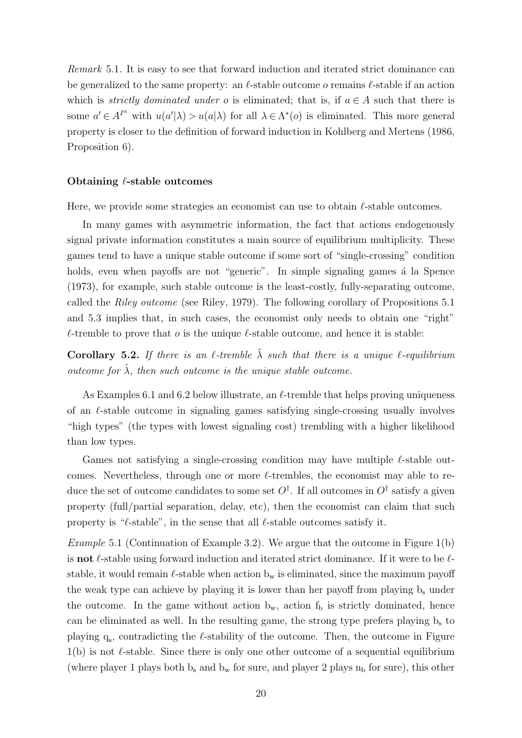Remark 5.1. It is easy to see that forward induction and iterated strict dominance can be generalized to the same property: an  $\ell$ -stable outcome *o* remains  $\ell$ -stable if an action which is *strictly dominated under o* is eliminated; that is, if  $a \in A$  such that there is some  $a' \in A^{I^a}$  with  $u(a'|\lambda) > u(a|\lambda)$  for all  $\lambda \in \Lambda^*(o)$  is eliminated. This more general property is closer to the definition of forward induction in [Kohlberg and Mertens](#page-22-1) [\(1986,](#page-22-1) Proposition 6).

#### Obtaining  $\ell$ -stable outcomes

Here, we provide some strategies an economist can use to obtain  $\ell$ -stable outcomes.

In many games with asymmetric information, the fact that actions endogenously signal private information constitutes a main source of equilibrium multiplicity. These games tend to have a unique stable outcome if some sort of "single-crossing" condition holds, even when payoffs are not "generic". In simple signaling games a la [Spence](#page-23-5) [\(1973\)](#page-23-5), for example, such stable outcome is the least-costly, fully-separating outcome, called the Riley outcome (see [Riley,](#page-23-6) [1979\)](#page-23-6). The following corollary of Propositions [5.1](#page-15-2) and [5.3](#page-17-4) implies that, in such cases, the economist only needs to obtain one "right"  $\ell$ -tremble to prove that  $o$  is the unique  $\ell$ -stable outcome, and hence it is stable:

<span id="page-19-1"></span>Corollary 5.2. If there is an  $\ell$ -tremble  $\tilde{\lambda}$  such that there is a unique  $\ell$ -equilibrium outcome for  $\tilde{\lambda}$ , then such outcome is the unique stable outcome.

As Examples [6.1](#page-20-1) and [6.2](#page-20-2) below illustrate, an  $\ell$ -tremble that helps proving uniqueness of an  $\ell$ -stable outcome in signaling games satisfying single-crossing usually involves "high types" (the types with lowest signaling cost) trembling with a higher likelihood than low types.

Games not satisfying a single-crossing condition may have multiple  $\ell$ -stable outcomes. Nevertheless, through one or more  $\ell$ -trembles, the economist may able to reduce the set of outcome candidates to some set  $O^{\dagger}$ . If all outcomes in  $O^{\dagger}$  satisfy a given property (full/partial separation, delay, etc), then the economist can claim that such property is " $\ell$ -stable", in the sense that all  $\ell$ -stable outcomes satisfy it.

<span id="page-19-0"></span>*Example* 5.1 (Continuation of Example [3.2\)](#page-10-2). We argue that the outcome in Figure [1\(](#page-8-0)b) is **not**  $\ell$ -stable using forward induction and iterated strict dominance. If it were to be  $\ell$ stable, it would remain  $\ell$ -stable when action  $b_w$  is eliminated, since the maximum payoff the weak type can achieve by playing it is lower than her payoff from playing  $b_s$  under the outcome. In the game without action  $b_w$ , action  $f_b$  is strictly dominated, hence can be eliminated as well. In the resulting game, the strong type prefers playing  $b<sub>s</sub>$  to playing  $q_s$ , contradicting the  $\ell$ -stability of the outcome. Then, the outcome in Figure  $1(b)$  $1(b)$  is not  $\ell$ -stable. Since there is only one other outcome of a sequential equilibrium (where player 1 plays both  $b_s$  and  $b_w$  for sure, and player 2 plays  $n_b$  for sure), this other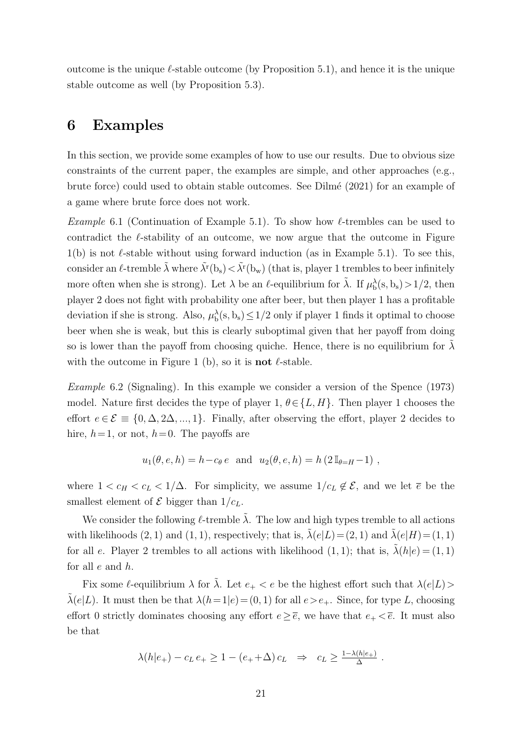outcome is the unique  $\ell$ -stable outcome (by Proposition [5.1\)](#page-15-2), and hence it is the unique stable outcome as well (by Proposition [5.3\)](#page-17-4).

# <span id="page-20-0"></span>6 Examples

In this section, we provide some examples of how to use our results. Due to obvious size constraints of the current paper, the examples are simple, and other approaches (e.g., brute force) could used to obtain stable outcomes. See Dilm´e (2021) for an example of a game where brute force does not work.

<span id="page-20-1"></span>*Example* 6.1 (Continuation of Example [5.1\)](#page-19-0). To show how  $\ell$ -trembles can be used to contradict the  $\ell$ -stability of an outcome, we now argue that the outcome in Figure  $1(b)$  $1(b)$  is not  $\ell$ -stable without using forward induction (as in Example [5.1\)](#page-19-0). To see this, consider an  $\ell$ -tremble  $\tilde{\lambda}$  where  $\tilde{\lambda}^r(b_s) < \tilde{\lambda}^r(b_w)$  (that is, player 1 trembles to beer infinitely more often when she is strong). Let  $\lambda$  be an  $\ell$ -equilibrium for  $\tilde{\lambda}$ . If  $\mu_b^{\lambda}(s, b_s) > 1/2$ , then player 2 does not fight with probability one after beer, but then player 1 has a profitable deviation if she is strong. Also,  $\mu_b^{\lambda}(s, b_s) \leq 1/2$  only if player 1 finds it optimal to choose beer when she is weak, but this is clearly suboptimal given that her payoff from doing so is lower than the payoff from choosing quiche. Hence, there is no equilibrium for  $\lambda$ with the outcome in Figure [1](#page-8-0) (b), so it is **not**  $\ell$ -stable.

<span id="page-20-2"></span>Example 6.2 (Signaling). In this example we consider a version of the [Spence](#page-23-5) [\(1973\)](#page-23-5) model. Nature first decides the type of player 1,  $\theta \in \{L, H\}$ . Then player 1 chooses the effort  $e \in \mathcal{E} \equiv \{0, \Delta, 2\Delta, ..., 1\}$ . Finally, after observing the effort, player 2 decides to hire,  $h=1$ , or not,  $h=0$ . The payoffs are

$$
u_1(\theta, e, h) = h - c_\theta e
$$
 and  $u_2(\theta, e, h) = h (2 \mathbb{I}_{\theta = H} - 1)$ ,

where  $1 < c_H < c_L < 1/\Delta$ . For simplicity, we assume  $1/c_L \notin \mathcal{E}$ , and we let  $\overline{e}$  be the smallest element of  $\mathcal E$  bigger than  $1/c_L$ .

We consider the following  $\ell$ -tremble  $\tilde{\lambda}$ . The low and high types tremble to all actions with likelihoods  $(2, 1)$  and  $(1, 1)$ , respectively; that is,  $\tilde{\lambda}(e|L)=(2, 1)$  and  $\tilde{\lambda}(e|H)=(1, 1)$ for all e. Player 2 trembles to all actions with likelihood  $(1, 1)$ ; that is,  $\tilde{\lambda}(h|e) = (1, 1)$ for all  $e$  and  $h$ .

Fix some  $\ell$ -equilibrium  $\lambda$  for  $\tilde{\lambda}$ . Let  $e_+ < e$  be the highest effort such that  $\lambda(e|L)$  $\tilde{\lambda}(e|L)$ . It must then be that  $\lambda(h=1|e) = (0, 1)$  for all  $e > e_+$ . Since, for type L, choosing effort 0 strictly dominates choosing any effort  $e \geq \overline{e}$ , we have that  $e_+ < \overline{e}$ . It must also be that

$$
\lambda(h|e_+) - c_L e_+ \ge 1 - (e_+ + \Delta) c_L \Rightarrow c_L \ge \frac{1 - \lambda(h|e_+)}{\Delta}.
$$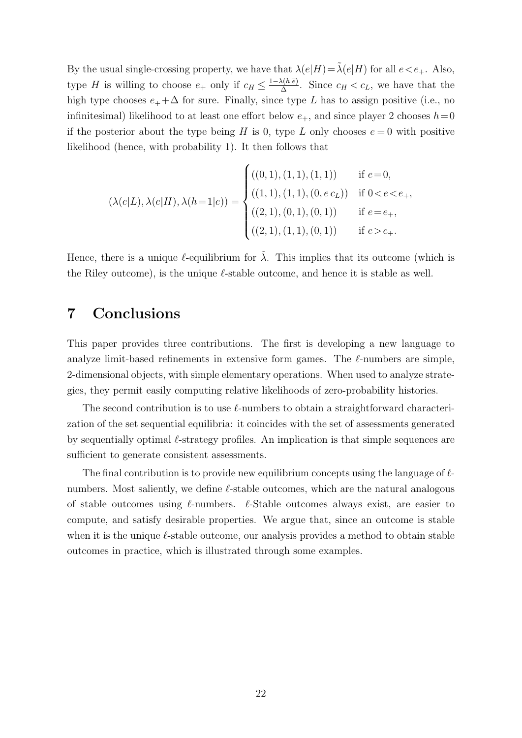By the usual single-crossing property, we have that  $\lambda(e|H)=\tilde{\lambda}(e|H)$  for all  $e. Also,$ type H is willing to choose  $e_+$  only if  $c_H \leq \frac{1-\lambda(h|\bar{e})}{\Delta}$  $\frac{\lambda(h|e)}{\Delta}$ . Since  $c_H < c_L$ , we have that the high type chooses  $e_+ + \Delta$  for sure. Finally, since type L has to assign positive (i.e., no infinitesimal) likelihood to at least one effort below  $e_+$ , and since player 2 chooses  $h=0$ if the posterior about the type being H is 0, type L only chooses  $e = 0$  with positive likelihood (hence, with probability 1). It then follows that

$$
(\lambda(e|L), \lambda(e|H), \lambda(h=1|e)) = \begin{cases} ((0,1), (1,1), (1,1)) & \text{if } e=0, \\ ((1,1), (1,1), (0, e c_L)) & \text{if } 0 < e < e_+, \\ ((2,1), (0,1), (0,1)) & \text{if } e=e_+, \\ ((2,1), (1,1), (0,1)) & \text{if } e > e_+. \end{cases}
$$

Hence, there is a unique  $\ell$ -equilibrium for  $\tilde{\lambda}$ . This implies that its outcome (which is the Riley outcome), is the unique  $\ell$ -stable outcome, and hence it is stable as well.

# <span id="page-21-0"></span>7 Conclusions

This paper provides three contributions. The first is developing a new language to analyze limit-based refinements in extensive form games. The  $\ell$ -numbers are simple, 2-dimensional objects, with simple elementary operations. When used to analyze strategies, they permit easily computing relative likelihoods of zero-probability histories.

The second contribution is to use  $\ell$ -numbers to obtain a straightforward characterization of the set sequential equilibria: it coincides with the set of assessments generated by sequentially optimal  $\ell$ -strategy profiles. An implication is that simple sequences are sufficient to generate consistent assessments.

The final contribution is to provide new equilibrium concepts using the language of  $\ell$ numbers. Most saliently, we define  $\ell$ -stable outcomes, which are the natural analogous of stable outcomes using  $\ell$ -numbers.  $\ell$ -Stable outcomes always exist, are easier to compute, and satisfy desirable properties. We argue that, since an outcome is stable when it is the unique  $\ell$ -stable outcome, our analysis provides a method to obtain stable outcomes in practice, which is illustrated through some examples.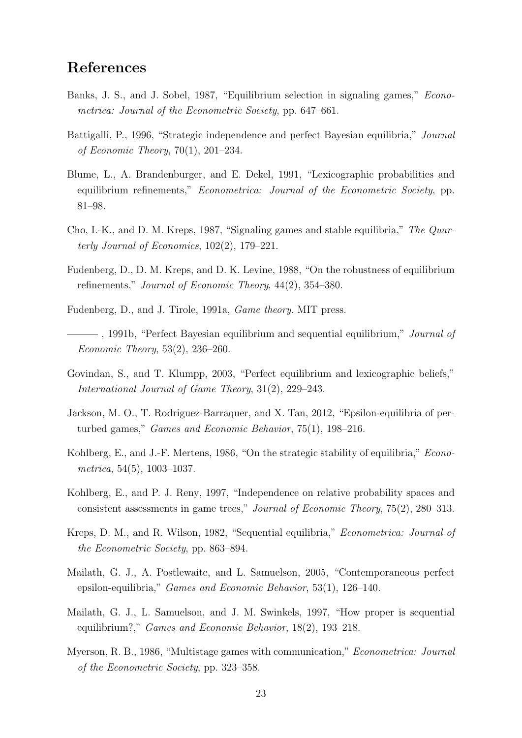# References

- <span id="page-22-4"></span>Banks, J. S., and J. Sobel, 1987, "Equilibrium selection in signaling games," Econometrica: Journal of the Econometric Society, pp. 647–661.
- <span id="page-22-5"></span>Battigalli, P., 1996, "Strategic independence and perfect Bayesian equilibria," Journal of Economic Theory, 70(1), 201–234.
- <span id="page-22-6"></span>Blume, L., A. Brandenburger, and E. Dekel, 1991, "Lexicographic probabilities and equilibrium refinements," *Econometrica: Journal of the Econometric Society*, pp. 81–98.
- <span id="page-22-3"></span>Cho, I.-K., and D. M. Kreps, 1987, "Signaling games and stable equilibria," The Quarterly Journal of Economics, 102(2), 179–221.
- <span id="page-22-8"></span>Fudenberg, D., D. M. Kreps, and D. K. Levine, 1988, "On the robustness of equilibrium refinements," Journal of Economic Theory, 44(2), 354–380.
- <span id="page-22-14"></span>Fudenberg, D., and J. Tirole, 1991a, Game theory. MIT press.
- <span id="page-22-2"></span> $-$ , 1991b, "Perfect Bayesian equilibrium and sequential equilibrium," *Journal of* Economic Theory, 53(2), 236–260.
- <span id="page-22-7"></span>Govindan, S., and T. Klumpp, 2003, "Perfect equilibrium and lexicographic beliefs," International Journal of Game Theory, 31(2), 229–243.
- <span id="page-22-13"></span>Jackson, M. O., T. Rodriguez-Barraquer, and X. Tan, 2012, "Epsilon-equilibria of perturbed games," Games and Economic Behavior, 75(1), 198–216.
- <span id="page-22-1"></span>Kohlberg, E., and J.-F. Mertens, 1986, "On the strategic stability of equilibria," *Econo*metrica, 54(5), 1003–1037.
- <span id="page-22-10"></span>Kohlberg, E., and P. J. Reny, 1997, "Independence on relative probability spaces and consistent assessments in game trees," Journal of Economic Theory, 75(2), 280–313.
- <span id="page-22-0"></span>Kreps, D. M., and R. Wilson, 1982, "Sequential equilibria," Econometrica: Journal of the Econometric Society, pp. 863–894.
- <span id="page-22-12"></span>Mailath, G. J., A. Postlewaite, and L. Samuelson, 2005, "Contemporaneous perfect epsilon-equilibria," Games and Economic Behavior, 53(1), 126–140.
- <span id="page-22-11"></span>Mailath, G. J., L. Samuelson, and J. M. Swinkels, 1997, "How proper is sequential equilibrium?," Games and Economic Behavior, 18(2), 193–218.
- <span id="page-22-9"></span>Myerson, R. B., 1986, "Multistage games with communication," Econometrica: Journal of the Econometric Society, pp. 323–358.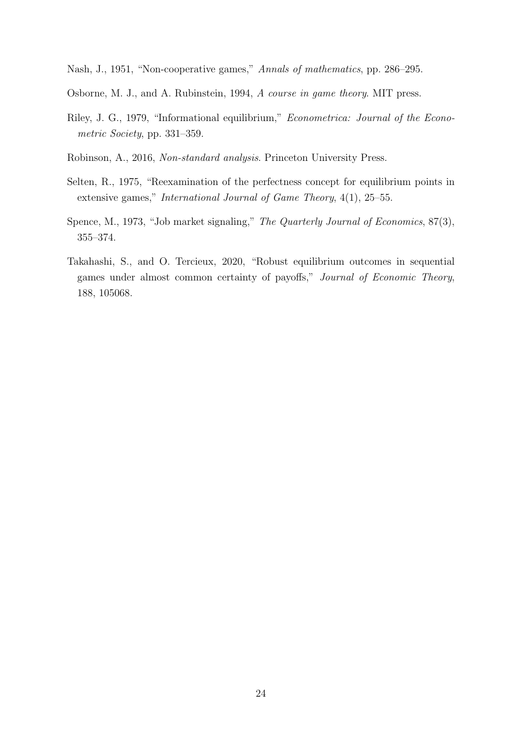<span id="page-23-1"></span>Nash, J., 1951, "Non-cooperative games," Annals of mathematics, pp. 286–295.

- <span id="page-23-4"></span>Osborne, M. J., and A. Rubinstein, 1994, A course in game theory. MIT press.
- <span id="page-23-6"></span>Riley, J. G., 1979, "Informational equilibrium," Econometrica: Journal of the Econometric Society, pp. 331–359.
- <span id="page-23-0"></span>Robinson, A., 2016, Non-standard analysis. Princeton University Press.
- <span id="page-23-2"></span>Selten, R., 1975, "Reexamination of the perfectness concept for equilibrium points in extensive games," International Journal of Game Theory, 4(1), 25–55.
- <span id="page-23-5"></span>Spence, M., 1973, "Job market signaling," The Quarterly Journal of Economics, 87(3), 355–374.
- <span id="page-23-3"></span>Takahashi, S., and O. Tercieux, 2020, "Robust equilibrium outcomes in sequential games under almost common certainty of payoffs," Journal of Economic Theory, 188, 105068.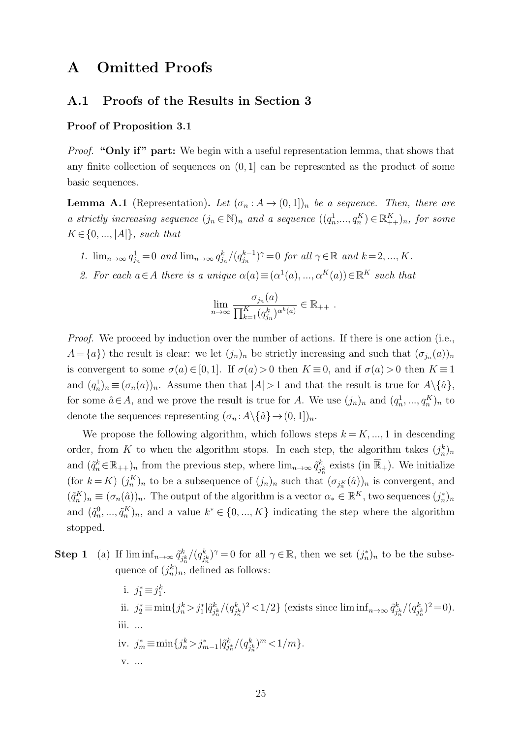# <span id="page-24-0"></span>A Omitted Proofs

# A.1 Proofs of the Results in Section [3](#page-6-0)

### Proof of Proposition [3.1](#page-7-0)

Proof. "Only if" part: We begin with a useful representation lemma, that shows that any finite collection of sequences on  $(0, 1]$  can be represented as the product of some basic sequences.

<span id="page-24-1"></span>**Lemma A.1** (Representation). Let  $(\sigma_n : A \to (0,1])_n$  be a sequence. Then, there are a strictly increasing sequence  $(j_n \in \mathbb{N})_n$  and a sequence  $((q_n^1, ..., q_n^K) \in \mathbb{R}_{++}^K)_n$ , for some  $K \in \{0, ..., |A|\}$ , such that

- 1.  $\lim_{n\to\infty} q_{j_n}^1 = 0$  and  $\lim_{n\to\infty} q_{j_n}^k/(q_{j_n}^{k-1})$  $j_n^{k-1})^{\gamma} = 0$  for all  $\gamma \in \mathbb{R}$  and  $k = 2, ..., K$ .
- 2. For each  $a \in A$  there is a unique  $\alpha(a) \equiv (\alpha^1(a), ..., \alpha^K(a)) \in \mathbb{R}^K$  such that

$$
\lim_{n \to \infty} \frac{\sigma_{j_n}(a)}{\prod_{k=1}^K (q_{j_n}^k)^{\alpha^k(a)}} \in \mathbb{R}_{++}.
$$

*Proof.* We proceed by induction over the number of actions. If there is one action (i.e.,  $A = \{a\}$ ) the result is clear: we let  $(j_n)_n$  be strictly increasing and such that  $(\sigma_{j_n}(a))_n$ is convergent to some  $\sigma(a) \in [0,1]$ . If  $\sigma(a) > 0$  then  $K \equiv 0$ , and if  $\sigma(a) > 0$  then  $K \equiv 1$ and  $(q_n^1)_n \equiv (\sigma_n(a))_n$ . Assume then that  $|A| > 1$  and that the result is true for  $A \setminus \{\hat{a}\},$ for some  $\hat{a} \in A$ , and we prove the result is true for A. We use  $(j_n)_n$  and  $(q_n^1, ..., q_n^K)_n$  to denote the sequences representing  $(\sigma_n : A \setminus {\hat{a}} \to (0, 1])_n$ .

We propose the following algorithm, which follows steps  $k = K, ..., 1$  in descending order, from K to when the algorithm stops. In each step, the algorithm takes  $(j_n^k)_n$ and  $(\tilde{q}_n^k \in \mathbb{R}_{++})_n$  from the previous step, where  $\lim_{n\to\infty} \tilde{q}_i^k$  $j_{\hbar}^k$  exists (in  $\overline{\mathbb{R}}_+$ ). We initialize (for  $k = K$ )  $(j_n^K)_n$  to be a subsequence of  $(j_n)_n$  such that  $(\sigma_{j_n^K}(\hat{a}))_n$  is convergent, and  $(\tilde{q}_n^K)_n \equiv (\sigma_n(\hat{a}))_n$ . The output of the algorithm is a vector  $\alpha_* \in \mathbb{R}^K$ , two sequences  $(j_n^*)_n$ and  $(\tilde{q}_n^0, ..., \tilde{q}_n^K)_n$ , and a value  $k^* \in \{0, ..., K\}$  indicating the step where the algorithm stopped.

**Step 1** (a) If  $\liminf_{n\to\infty} \tilde{q}_i^k$  $j_n^k/(q_{j_i}^k)$  $j_h^k$ )<sup> $\gamma$ </sup> = 0 for all  $\gamma \in \mathbb{R}$ , then we set  $(j_n^*)_n$  to be the subsequence of  $(j_n^k)_n$ , defined as follows:

> i.  $j_1^* \equiv j_1^k$ . ii.  $j_2^* \equiv \min\{j_n^k > j_1^* | \tilde{q}_j^k\}$  $j_n^k/(q_{j_i}^k$  $\binom{k}{j_n^k}^2 < 1/2$  (exists since  $\liminf_{n\to\infty} \tilde{q}_j^k$  $j_n^k/(q_j^k)$  $j_n^k)^2 = 0$ . iii. ... iv.  $j_m^* \equiv \min\{j_n^k > j_{m-1}^*\,|\tilde{q}_{j_n^*}^k/(q_{j_m}^k)$  $\binom{k}{j_n^k}^m < 1/m$ . v. ...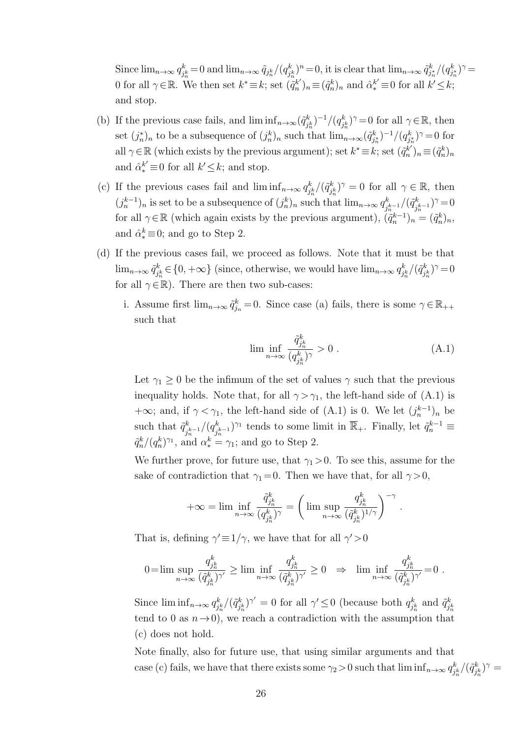Since  $\lim_{n\to\infty} q_i^k$  $j_n^k = 0$  and  $\lim_{n\to\infty} \tilde{q}_{j_n^k}/(q_{j_n^k}^k)$  $(\hat{a}_{j_n^k})^n = 0$ , it is clear that  $\lim_{n\to\infty} \tilde{q}_{j_n^k}^k/(q_{j_n^k}^k)^{\gamma} =$ 0 for all  $\gamma \in \mathbb{R}$ . We then set  $k^* \equiv k$ ; set  $(\tilde{q}_n^k)$  $(k')_n \equiv (\tilde{q}_n^k)_n$  and  $\hat{\alpha}_*^{k'} \equiv 0$  for all  $k' \leq k$ ; and stop.

- (b) If the previous case fails, and  $\liminf_{n\to\infty}(\tilde{q}_i^k)$  $(j_n^k)^{-1}/(q_j^k)$  $j_n^k$ )<sup> $\gamma$ </sup> = 0 for all  $\gamma \in \mathbb{R}$ , then set  $(j_n^*)_n$  to be a subsequence of  $(j_n^k)_n$  such that  $\lim_{n\to\infty} (\tilde{q}_{j_n^*}^k)^{-1}/(q_{j_n^*}^k)^{\gamma} = 0$  for all  $\gamma \in \mathbb{R}$  (which exists by the previous argument); set  $k^* \equiv k$ ; set  $(\tilde{q}_n^k)$  $(\tilde{q}_n^k)_n \equiv (\tilde{q}_n^k)_n$ and  $\hat{\alpha}_*^{k'} \equiv 0$  for all  $k' \leq k$ ; and stop.
- (c) If the previous cases fail and  $\liminf_{n\to\infty} q_i^k$  $j_n^k/(\tilde{q}_j^k)$  $(k_{j_n^k}^k)^\gamma = 0$  for all  $\gamma \in \mathbb{R}$ , then  $(j_n^{k-1})_n$  is set to be a subsequence of  $(j_n^k)_n$  such that  $\lim_{n\to\infty} q_i^k$  $\int_{j_n^{k-1}}^{k}/(\tilde{q}_j^k)$  $\binom{k}{j_n^{k-1}}^{\gamma} = 0$ for all  $\gamma \in \mathbb{R}$  (which again exists by the previous argument),  $(\tilde{q}_n^{k-1})_n = (\tilde{q}_n^k)_n$ , and  $\hat{\alpha}_{*}^{k} \equiv 0$ ; and go to Step 2.
- (d) If the previous cases fail, we proceed as follows. Note that it must be that  $\lim_{n\to\infty}\tilde{q}_i^k$  $a_{j_n^k}^k \in \{0, +\infty\}$  (since, otherwise, we would have  $\lim_{n\to\infty} q_{j_n^k}^k$  $\int_{j_n^k}^k/(\tilde{q}_j^k)$  $(i_{j_n}^k)^\gamma = 0$ for all  $\gamma\!\in\!\mathbb{R}).$  There are then two sub-cases:
	- i. Assume first  $\lim_{n\to\infty} \tilde{q}_{j_n}^k = 0$ . Since case (a) fails, there is some  $\gamma \in \mathbb{R}_{++}$ such that

$$
\liminf_{n \to \infty} \frac{\tilde{q}_{j_n^k}^k}{(q_{j_n^k}^k)^{\gamma}} > 0 \tag{A.1}
$$

<span id="page-25-0"></span>.

Let  $\gamma_1 \geq 0$  be the infimum of the set of values  $\gamma$  such that the previous inequality holds. Note that, for all  $\gamma > \gamma_1$ , the left-hand side of [\(A.1\)](#page-25-0) is +∞; and, if  $\gamma < \gamma_1$ , the left-hand side of [\(A.1\)](#page-25-0) is 0. We let  $(j_n^{k-1})_n$  be such that  $\tilde{q}_i^k$  $\frac{d^{k}_{j^{k-1}}}{d^{k}_{j^{k}}}$  $(j_h^{k-1})^{\gamma_1}$  tends to some limit in  $\overline{\mathbb{R}}_+$ . Finally, let  $\tilde{q}_n^{k-1} \equiv$  $\tilde{q}_n^k/(q_n^k)^{\gamma_1}$ , and  $\alpha_*^k = \gamma_1$ ; and go to Step 2.

We further prove, for future use, that  $\gamma_1 > 0$ . To see this, assume for the sake of contradiction that  $\gamma_1 = 0$ . Then we have that, for all  $\gamma > 0$ ,

$$
+\infty=\lim\inf_{n\to\infty}\frac{\tilde{q}^k_{j^k_n}}{(q^k_{j^k_n})^\gamma}=\bigg(\lim\sup_{n\to\infty}\frac{q^k_{j^k_n}}{(\tilde{q}^k_{j^k_n})^{1/\gamma}}\bigg)^{-\gamma}
$$

That is, defining  $\gamma' \equiv 1/\gamma$ , we have that for all  $\gamma' > 0$ 

$$
0 = \lim \sup_{n \to \infty} \frac{q_{j_n^k}^k}{(\tilde{q}_{j_n^k}^k)^{\gamma'}} \ge \lim \inf_{n \to \infty} \frac{q_{j_n^k}^k}{(\tilde{q}_{j_n^k}^k)^{\gamma'}} \ge 0 \Rightarrow \lim \inf_{n \to \infty} \frac{q_{j_n^k}^k}{(\tilde{q}_{j_n^k}^k)^{\gamma'}} = 0.
$$

Since  $\liminf_{n\to\infty} q_i^k$  $\frac{d}{d\tilde{h}}^{k}/(\tilde{q}^{k}_{j})$  $(j_h^k)$ <sup> $\gamma' = 0$ </sup> for all  $\gamma' \leq 0$  (because both  $q_j^k$  $q_{j_k}^k$  and  $\tilde{q}_j^k$ j k n tend to 0 as  $n\rightarrow 0$ , we reach a contradiction with the assumption that (c) does not hold.

Note finally, also for future use, that using similar arguments and that case (c) fails, we have that there exists some  $\gamma_2 > 0$  such that  $\liminf_{n \to \infty} q_i^k$  $\int_{j_n^k}^k/(\tilde{q}_j^k)$  $(\dot{f}^k_{j^k_n})^\gamma =$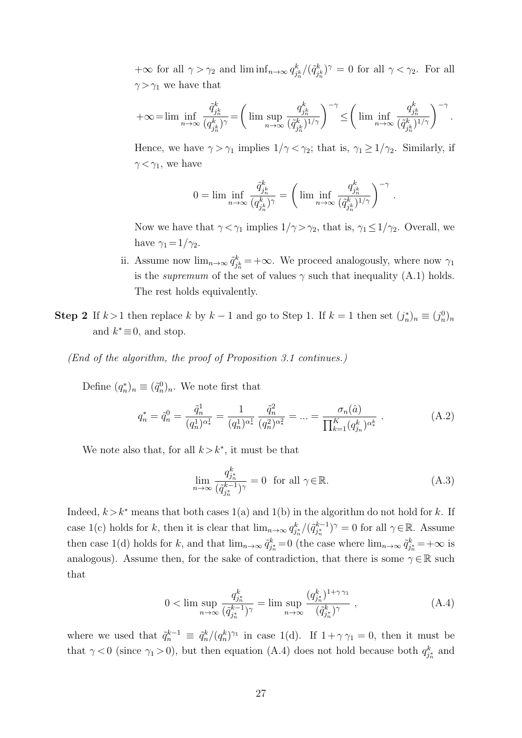$+\infty$  for all  $\gamma > \gamma_2$  and  $\liminf_{n \to \infty} q_i^k$  $\int_{j_n^k}^k/(\tilde{q}_{j_n}^k)$  $(k_{j_n^k})^{\gamma} = 0$  for all  $\gamma < \gamma_2$ . For all  $\gamma > \gamma_1$  we have that

$$
+\infty\!=\!\lim\inf_{n\to\infty}\frac{\tilde{q}^k_{j^k_n}}{(q^k_{j^k_n})^\gamma}\!=\!\bigg(\lim\sup_{n\to\infty}\frac{q^k_{j^k_n}}{(\tilde{q}^k_{j^k_n})^{1/\gamma}}\bigg)^{-\gamma}\!\leq\!\bigg(\lim\inf_{n\to\infty}\frac{q^k_{j^k_n}}{(\tilde{q}^k_{j^k_n})^{1/\gamma}}\bigg)^{-\gamma}\,.
$$

Hence, we have  $\gamma > \gamma_1$  implies  $1/\gamma < \gamma_2$ ; that is,  $\gamma_1 \geq 1/\gamma_2$ . Similarly, if  $\gamma < \gamma_1$ , we have

$$
0=\lim\inf_{n\to\infty}\frac{\tilde{q}^k_{j^k_n}}{(q^k_{j^k_n})^\gamma}=\left(\lim\inf_{n\to\infty}\frac{q^k_{j^k_n}}{(\tilde{q}^k_{j^k_n})^{1/\gamma}}\right)^{-\gamma}\,.
$$

Now we have that  $\gamma < \gamma_1$  implies  $1/\gamma > \gamma_2$ , that is,  $\gamma_1 \leq 1/\gamma_2$ . Overall, we have  $\gamma_1 = 1/\gamma_2$ .

- ii. Assume now  $\lim_{n\to\infty}\tilde{q}_i^k$  $j_h^k$  = + $\infty$ . We proceed analogously, where now  $\gamma_1$ is the *supremum* of the set of values  $\gamma$  such that inequality [\(A.1\)](#page-25-0) holds. The rest holds equivalently.
- **Step 2** If  $k > 1$  then replace k by  $k 1$  and go to Step 1. If  $k = 1$  then set  $(j_n^*)_n \equiv (j_n^0)_n$ and  $k^* \equiv 0$ , and stop.

(End of the algorithm, the proof of Proposition [3.1](#page-7-0) continues.)

Define  $(q_n^*)_n \equiv (\tilde{q}_n^0)_n$ . We note first that

$$
q_n^* = \tilde{q}_n^0 = \frac{\tilde{q}_n^1}{(q_n^1)^{\alpha_*^1}} = \frac{1}{(q_n^1)^{\alpha_*^1}} \frac{\tilde{q}_n^2}{(q_n^2)^{\alpha_*^2}} = \dots = \frac{\sigma_n(\hat{a})}{\prod_{k=1}^K (q_{j_n}^k)^{\alpha_*^k}}.
$$
\n(A.2)

We note also that, for all  $k > k^*$ , it must be that

<span id="page-26-2"></span><span id="page-26-1"></span>
$$
\lim_{n \to \infty} \frac{q_{j_n^*}^k}{(\tilde{q}_{j_n^*}^{k-1})^{\gamma}} = 0 \quad \text{for all } \gamma \in \mathbb{R}.
$$
\n(A.3)

Indeed,  $k > k^*$  means that both cases 1(a) and 1(b) in the algorithm do not hold for k. If case 1(c) holds for k, then it is clear that  $\lim_{n\to\infty} q_{j_n^*}^k/(\tilde{q}_{j_n^*}^{k-1})$  $j_n^{k-1}$ )<sup> $\gamma = 0$ </sup> for all  $\gamma \in \mathbb{R}$ . Assume then case 1(d) holds for k, and that  $\lim_{n\to\infty} \tilde{q}_{j_n^k}^k = 0$  (the case where  $\lim_{n\to\infty} \tilde{q}_{j_n^k}^k = +\infty$  is analogous). Assume then, for the sake of contradiction, that there is some  $\gamma \in \mathbb{R}$  such that

<span id="page-26-0"></span>
$$
0 < \limsup_{n \to \infty} \frac{q_{j_n^*}^k}{(\tilde{q}_{j_n^*}^{k-1})^\gamma} = \limsup_{n \to \infty} \frac{(q_{j_n^*}^k)^{1+\gamma \gamma_1}}{(\tilde{q}_{j_n^*}^k)^\gamma} \,, \tag{A.4}
$$

where we used that  $\tilde{q}_n^{k-1} \equiv \tilde{q}_n^k/(q_n^k)^{\gamma_1}$  in case 1(d). If  $1 + \gamma \gamma_1 = 0$ , then it must be that  $\gamma < 0$  (since  $\gamma_1 > 0$ ), but then equation [\(A.4\)](#page-26-0) does not hold because both  $q_{j_n}^k$  and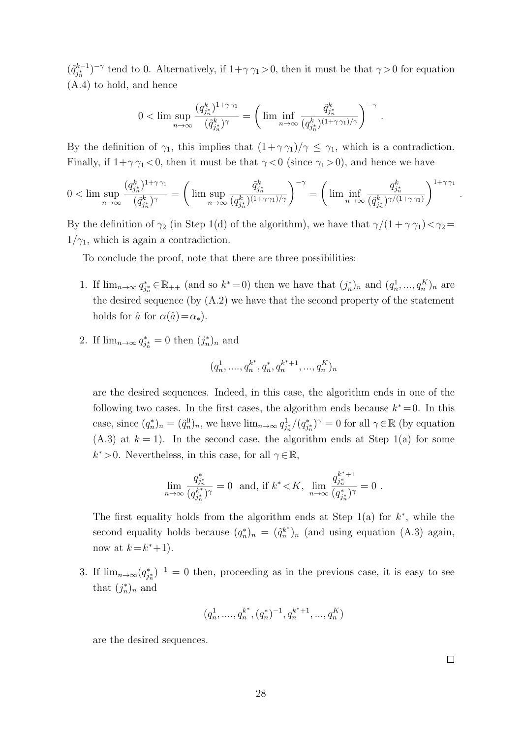$(\tilde{q}_{i*}^{k-1})$  $j_{j_n}^{k-1}$ )<sup>-γ</sup> tend to 0. Alternatively, if  $1+\gamma \gamma_1 > 0$ , then it must be that  $\gamma > 0$  for equation [\(A.4\)](#page-26-0) to hold, and hence

$$
0<\lim\sup_{n\to\infty}\frac{(q^k_{j_n^*})^{1+\gamma\gamma_1}}{(\tilde q^k_{j_n^*})^\gamma}=\left(\lim\inf_{n\to\infty}\frac{\tilde q^k_{j_n^*}}{(q^k_{j_n^*})^{(1+\gamma\gamma_1)/\gamma}}\right)^{-\gamma}\,.
$$

By the definition of  $\gamma_1$ , this implies that  $(1+\gamma \gamma_1)/\gamma \leq \gamma_1$ , which is a contradiction. Finally, if  $1+\gamma \gamma_1 < 0$ , then it must be that  $\gamma < 0$  (since  $\gamma_1 > 0$ ), and hence we have

$$
0<\lim\sup_{n\to\infty}\frac{(q^k_{j^*_n})^{1+\gamma\cdot\gamma_1}}{(\tilde q^k_{j^*_n})^\gamma}=\bigg(\lim\sup_{n\to\infty}\frac{\tilde q^k_{j^*_n}}{(q^k_{j^*_n})^{(1+\gamma\cdot\gamma_1)/\gamma}}\bigg)^{-\gamma}=\bigg(\lim\inf_{n\to\infty}\frac{q^k_{j^*_n}}{(\tilde q^k_{j^*_n})^{\gamma/(1+\gamma\cdot\gamma_1)}}\bigg)^{1+\gamma\cdot\gamma_1}
$$

By the definition of  $\gamma_2$  (in Step 1(d) of the algorithm), we have that  $\gamma/(1 + \gamma \gamma_1) < \gamma_2 =$  $1/\gamma_1$ , which is again a contradiction.

To conclude the proof, note that there are three possibilities:

- 1. If  $\lim_{n\to\infty} q_{j_n^*}^* \in \mathbb{R}_{++}$  (and so  $k^*=0$ ) then we have that  $(j_n^*)_n$  and  $(q_n^1, ..., q_n^K)_n$  are the desired sequence (by [\(A.2\)](#page-26-1) we have that the second property of the statement holds for  $\hat{a}$  for  $\alpha(\hat{a})=\alpha_*$ ).
- 2. If  $\lim_{n\to\infty} q_{j_n^*}^* = 0$  then  $(j_n^*)_n$  and

$$
(q_n^1, \ldots, q_n^{k^*}, q_n^*, q_n^{k^*+1}, \ldots, q_n^K)_n
$$

are the desired sequences. Indeed, in this case, the algorithm ends in one of the following two cases. In the first cases, the algorithm ends because  $k^* = 0$ . In this case, since  $(q_n^*)_n = (\tilde{q}_n^0)_n$ , we have  $\lim_{n\to\infty} q_{j_n^*}^1/(q_{j_n^*}^*)^\gamma = 0$  for all  $\gamma \in \mathbb{R}$  (by equation  $(A.3)$  at  $k = 1$ ). In the second case, the algorithm ends at Step 1(a) for some  $k^* > 0$ . Nevertheless, in this case, for all  $\gamma \in \mathbb{R}$ ,

$$
\lim_{n \to \infty} \frac{q_{j_n^*}^*}{(q_{j_n^*}^{k^*})^{\gamma}} = 0 \text{ and, if } k^* < K, \lim_{n \to \infty} \frac{q_{j_n^*}^{k^*+1}}{(q_{j_n^*}^*)^{\gamma}} = 0.
$$

The first equality holds from the algorithm ends at Step  $1(a)$  for  $k^*$ , while the second equality holds because  $(q_n^*)_n = (\tilde{q}_n^{k^*})$  $\binom{k^*}{n}$  (and using equation [\(A.3\)](#page-26-2) again, now at  $k = k^* + 1$ .

3. If  $\lim_{n\to\infty} (q_{j_n}^*)^{-1} = 0$  then, proceeding as in the previous case, it is easy to see that  $(j_n^*)_n$  and

$$
(q_n^1,....,q_n^{k^*},(q_n^*)^{-1},q_n^{k^*+1},...,q_n^K)\\
$$

are the desired sequences.

 $\Box$ 

.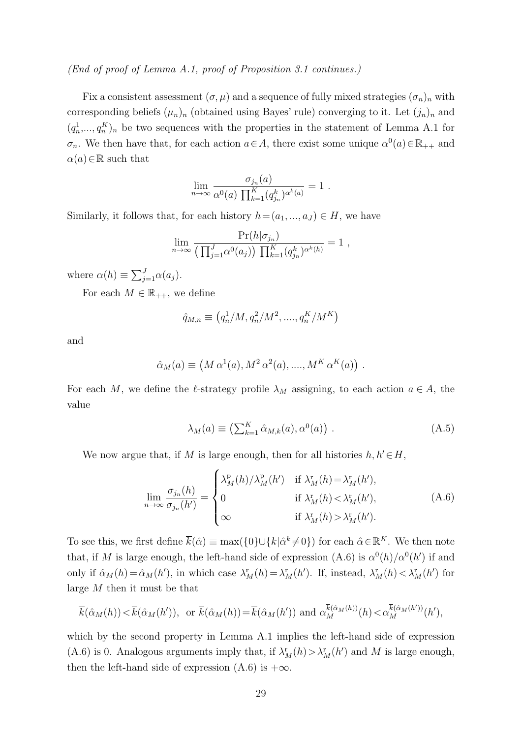### (End of proof of Lemma [A.1,](#page-24-1) proof of Proposition [3.1](#page-7-0) continues.)

Fix a consistent assessment  $(\sigma, \mu)$  and a sequence of fully mixed strategies  $(\sigma_n)_n$  with corresponding beliefs  $(\mu_n)_n$  (obtained using Bayes' rule) converging to it. Let  $(j_n)_n$  and  $(q_n^1, \ldots, q_n^K)_n$  be two sequences with the properties in the statement of Lemma [A.1](#page-24-1) for  $\sigma_n$ . We then have that, for each action  $a \in A$ , there exist some unique  $\alpha^0(a) \in \mathbb{R}_{++}$  and  $\alpha(a) \in \mathbb{R}$  such that

$$
\lim_{n \to \infty} \frac{\sigma_{j_n}(a)}{\alpha^0(a) \prod_{k=1}^K (q_{j_n}^k)^{\alpha^k(a)}} = 1.
$$

Similarly, it follows that, for each history  $h = (a_1, ..., a_J) \in H$ , we have

$$
\lim_{n\to\infty} \frac{\Pr(h|\sigma_{j_n})}{\left(\prod_{j=1}^J \alpha^0(a_j)\right) \prod_{k=1}^K (q_{j_n}^k)^{\alpha^k(h)}} = 1,
$$

where  $\alpha(h) \equiv \sum_{j=1}^{J} \alpha(a_j)$ .

For each  $M \in \mathbb{R}_{++}$ , we define

$$
\hat{q}_{M,n} \equiv (q_n^1/M, q_n^2/M^2, \dots, q_n^K/M^K)
$$

and

$$
\hat{\alpha}_M(a) \equiv \left(M \,\alpha^1(a), M^2 \,\alpha^2(a), \dots, M^K \,\alpha^K(a)\right) \, .
$$

For each M, we define the  $\ell$ -strategy profile  $\lambda_M$  assigning, to each action  $a \in A$ , the value

<span id="page-28-1"></span><span id="page-28-0"></span>
$$
\lambda_M(a) \equiv \left(\sum_{k=1}^K \hat{\alpha}_{M,k}(a), \alpha^0(a)\right) . \tag{A.5}
$$

We now argue that, if M is large enough, then for all histories  $h, h' \in H$ ,

$$
\lim_{n \to \infty} \frac{\sigma_{j_n}(h)}{\sigma_{j_n}(h')} = \begin{cases} \lambda_M^{\mathbf{p}}(h) / \lambda_M^{\mathbf{p}}(h') & \text{if } \lambda_M^{\mathbf{r}}(h) = \lambda_M^{\mathbf{r}}(h'),\\ 0 & \text{if } \lambda_M^{\mathbf{r}}(h) < \lambda_M^{\mathbf{r}}(h'),\\ \infty & \text{if } \lambda_M^{\mathbf{r}}(h) > \lambda_M^{\mathbf{r}}(h'). \end{cases}
$$
(A.6)

To see this, we first define  $\bar{k}(\hat{\alpha}) \equiv \max(\{0\} \cup \{k | \hat{\alpha}^k \neq 0\})$  for each  $\hat{\alpha} \in \mathbb{R}^K$ . We then note that, if M is large enough, the left-hand side of expression  $(A.6)$  is  $\alpha^{0}(h)/\alpha^{0}(h')$  if and only if  $\hat{\alpha}_M(h) = \hat{\alpha}_M(h')$ , in which case  $\lambda_M^{\text{r}}(h) = \lambda_M^{\text{r}}(h')$ . If, instead,  $\lambda_M^{\text{r}}(h) < \lambda_M^{\text{r}}(h')$  for large M then it must be that

$$
\overline{k}(\hat{\alpha}_M(h)) < \overline{k}(\hat{\alpha}_M(h')), \text{ or } \overline{k}(\hat{\alpha}_M(h)) = \overline{k}(\hat{\alpha}_M(h')) \text{ and } \alpha_M^{\overline{k}(\hat{\alpha}_M(h))}(h) < \alpha_M^{\overline{k}(\hat{\alpha}_M(h'))}(h'),
$$

which by the second property in Lemma [A.1](#page-24-1) implies the left-hand side of expression [\(A.6\)](#page-28-0) is 0. Analogous arguments imply that, if  $\lambda_M^r(h) > \lambda_M^r(h')$  and M is large enough, then the left-hand side of expression  $(A.6)$  is  $+\infty$ .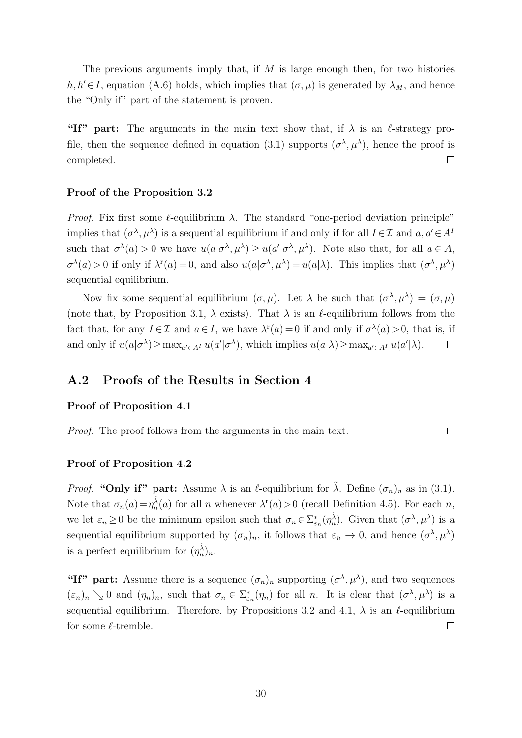The previous arguments imply that, if  $M$  is large enough then, for two histories  $h, h' \in I$ , equation [\(A.6\)](#page-28-0) holds, which implies that  $(\sigma, \mu)$  is generated by  $\lambda_M$ , and hence the "Only if" part of the statement is proven.

"If" part: The arguments in the main text show that, if  $\lambda$  is an  $\ell$ -strategy pro-file, then the sequence defined in equation [\(3.1\)](#page-6-2) supports  $(\sigma^{\lambda}, \mu^{\lambda})$ , hence the proof is completed.  $\Box$ 

### Proof of the Proposition [3.2](#page-10-1)

Proof. Fix first some  $\ell$ -equilibrium  $\lambda$ . The standard "one-period deviation principle" implies that  $(\sigma^{\lambda}, \mu^{\lambda})$  is a sequential equilibrium if and only if for all  $I \in \mathcal{I}$  and  $a, a' \in A^{I}$ such that  $\sigma^{\lambda}(a) > 0$  we have  $u(a|\sigma^{\lambda}, \mu^{\lambda}) \geq u(a'|\sigma^{\lambda}, \mu^{\lambda})$ . Note also that, for all  $a \in A$ ,  $\sigma^{\lambda}(a) > 0$  if only if  $\lambda^{r}(a) = 0$ , and also  $u(a|\sigma^{\lambda}, \mu^{\lambda}) = u(a|\lambda)$ . This implies that  $(\sigma^{\lambda}, \mu^{\lambda})$ sequential equilibrium.

Now fix some sequential equilibrium  $(\sigma, \mu)$ . Let  $\lambda$  be such that  $(\sigma^{\lambda}, \mu^{\lambda}) = (\sigma, \mu)$ (note that, by Proposition [3.1,](#page-7-0)  $\lambda$  exists). That  $\lambda$  is an  $\ell$ -equilibrium follows from the fact that, for any  $I \in \mathcal{I}$  and  $a \in I$ , we have  $\lambda^r(a) = 0$  if and only if  $\sigma^{\lambda}(a) > 0$ , that is, if and only if  $u(a|\sigma^{\lambda}) \ge \max_{a' \in A^I} u(a'|\sigma^{\lambda})$ , which implies  $u(a|\lambda) \ge \max_{a' \in A^I} u(a'|\lambda)$ .  $\Box$ 

### A.2 Proofs of the Results in Section [4](#page-10-0)

### Proof of Proposition [4.1](#page-12-0)

Proof. The proof follows from the arguments in the main text.

### Proof of Proposition [4.2](#page-12-2)

*Proof.* "Only if" part: Assume  $\lambda$  is an  $\ell$ -equilibrium for  $\tilde{\lambda}$ . Define  $(\sigma_n)_n$  as in [\(3.1\)](#page-6-2). Note that  $\sigma_n(a) = \eta_n^{\tilde{\lambda}}(a)$  for all n whenever  $\lambda^r(a) > 0$  (recall Definition [4.5\)](#page-13-3). For each n, we let  $\varepsilon_n \geq 0$  be the minimum epsilon such that  $\sigma_n \in \sum_{\varepsilon_n} (\eta_n^{\tilde{\lambda}})$ . Given that  $(\sigma^{\lambda}, \mu^{\lambda})$  is a sequential equilibrium supported by  $(\sigma_n)_n$ , it follows that  $\varepsilon_n \to 0$ , and hence  $(\sigma^{\lambda}, \mu^{\lambda})$ is a perfect equilibrium for  $(\eta_n^{\tilde{\lambda}})_n$ .

 $\Box$ 

"If" part: Assume there is a sequence  $(\sigma_n)_n$  supporting  $(\sigma^{\lambda}, \mu^{\lambda})$ , and two sequences  $(\varepsilon_n)_n \searrow 0$  and  $(\eta_n)_n$ , such that  $\sigma_n \in \Sigma_{\varepsilon_n}^*(\eta_n)$  for all n. It is clear that  $(\sigma^\lambda, \mu^\lambda)$  is a sequential equilibrium. Therefore, by Propositions [3.2](#page-10-1) and [4.1,](#page-12-0)  $\lambda$  is an  $\ell$ -equilibrium for some  $\ell$ -tremble.  $\Box$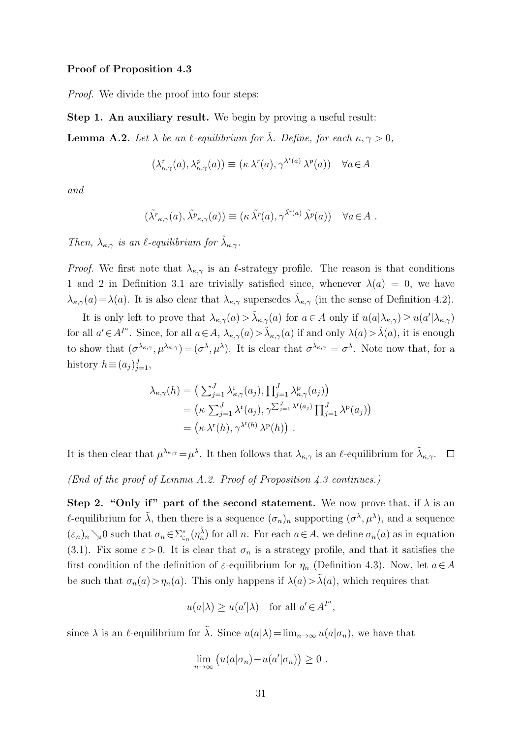#### Proof of Proposition [4.3](#page-13-1)

Proof. We divide the proof into four steps:

Step 1. An auxiliary result. We begin by proving a useful result:

<span id="page-30-0"></span>**Lemma A.2.** Let  $\lambda$  be an  $\ell$ -equilibrium for  $\tilde{\lambda}$ . Define, for each  $\kappa, \gamma > 0$ ,

$$
(\lambda_{\kappa,\gamma}^r(a),\lambda_{\kappa,\gamma}^p(a)) \equiv (\kappa \lambda^r(a),\gamma^{\lambda^r(a)}\lambda^p(a)) \quad \forall a \in A
$$

and

$$
(\tilde{\lambda}^r_{\kappa,\gamma}(a),\tilde{\lambda}^p_{\kappa,\gamma}(a))\equiv (\kappa \tilde{\lambda}^r(a),\gamma^{\tilde{\lambda}^r(a)}\tilde{\lambda}^p(a)) \quad \forall a\in A.
$$

Then,  $\lambda_{\kappa,\gamma}$  is an  $\ell$ -equilibrium for  $\tilde{\lambda}_{\kappa,\gamma}$ .

*Proof.* We first note that  $\lambda_{\kappa,\gamma}$  is an l-strategy profile. The reason is that conditions 1 and 2 in Definition [3.1](#page-6-3) are trivially satisfied since, whenever  $\lambda(a) = 0$ , we have  $\lambda_{\kappa,\gamma}(a) = \lambda(a)$ . It is also clear that  $\lambda_{\kappa,\gamma}$  supersedes  $\tilde{\lambda}_{\kappa,\gamma}$  (in the sense of Definition [4.2\)](#page-11-1).

It is only left to prove that  $\lambda_{\kappa,\gamma}(a) > \tilde{\lambda}_{\kappa,\gamma}(a)$  for  $a \in A$  only if  $u(a|\lambda_{\kappa,\gamma}) \geq u(a'|\lambda_{\kappa,\gamma})$ for all  $a' \in A^{I^a}$ . Since, for all  $a \in A$ ,  $\lambda_{\kappa,\gamma}(a) > \tilde{\lambda}_{\kappa,\gamma}(a)$  if and only  $\lambda(a) > \tilde{\lambda}(a)$ , it is enough to show that  $(\sigma^{\lambda_{\kappa,\gamma}}, \mu^{\lambda_{\kappa,\gamma}}) = (\sigma^{\lambda}, \mu^{\lambda})$ . It is clear that  $\sigma^{\lambda_{\kappa,\gamma}} = \sigma^{\lambda}$ . Note now that, for a history  $h \equiv (a_j)_{j=1}^J$ ,

$$
\lambda_{\kappa,\gamma}(h) = \left(\sum_{j=1}^{J} \lambda_{\kappa,\gamma}^{\mathbf{r}}(a_j), \prod_{j=1}^{J} \lambda_{\kappa,\gamma}^{\mathbf{p}}(a_j)\right)
$$
  
= 
$$
\left(\kappa \sum_{j=1}^{J} \lambda^{\mathbf{r}}(a_j), \gamma \sum_{j=1}^{J} \lambda^{\mathbf{r}}(a_j) \prod_{j=1}^{J} \lambda^{\mathbf{p}}(a_j)\right)
$$
  
= 
$$
\left(\kappa \lambda^{\mathbf{r}}(h), \gamma^{\lambda^{\mathbf{r}}(h)} \lambda^{\mathbf{p}}(h)\right).
$$

It is then clear that  $\mu^{\lambda_{\kappa,\gamma}} = \mu^{\lambda}$ . It then follows that  $\lambda_{\kappa,\gamma}$  is an  $\ell$ -equilibrium for  $\tilde{\lambda}_{\kappa,\gamma}$ .

(End of the proof of Lemma [A.2.](#page-30-0) Proof of Proposition [4.3](#page-13-1) continues.)

Step 2. "Only if" part of the second statement. We now prove that, if  $\lambda$  is an *l*-equilibrium for  $\tilde{\lambda}$ , then there is a sequence  $(\sigma_n)_n$  supporting  $({\sigma}^{\lambda}, \mu^{\lambda})$ , and a sequence  $(\varepsilon_n)_n \searrow 0$  such that  $\sigma_n \in \sum_{\varepsilon_n}^{\infty} (\eta_n^{\tilde{\lambda}})$  for all n. For each  $a \in A$ , we define  $\sigma_n(a)$  as in equation [\(3.1\)](#page-6-2). Fix some  $\varepsilon > 0$ . It is clear that  $\sigma_n$  is a strategy profile, and that it satisfies the first condition of the definition of  $\varepsilon$ -equilibrium for  $\eta_n$  (Definition [4.3\)](#page-12-4). Now, let  $a \in A$ be such that  $\sigma_n(a) > \eta_n(a)$ . This only happens if  $\lambda(a) > \tilde{\lambda}(a)$ , which requires that

$$
u(a|\lambda) \ge u(a'|\lambda)
$$
 for all  $a' \in A^{I^a}$ ,

since  $\lambda$  is an  $\ell$ -equilibrium for  $\tilde{\lambda}$ . Since  $u(a|\lambda)=\lim_{n\to\infty} u(a|\sigma_n)$ , we have that

$$
\lim_{n\to\infty} (u(a|\sigma_n)-u(a'|\sigma_n))\geq 0.
$$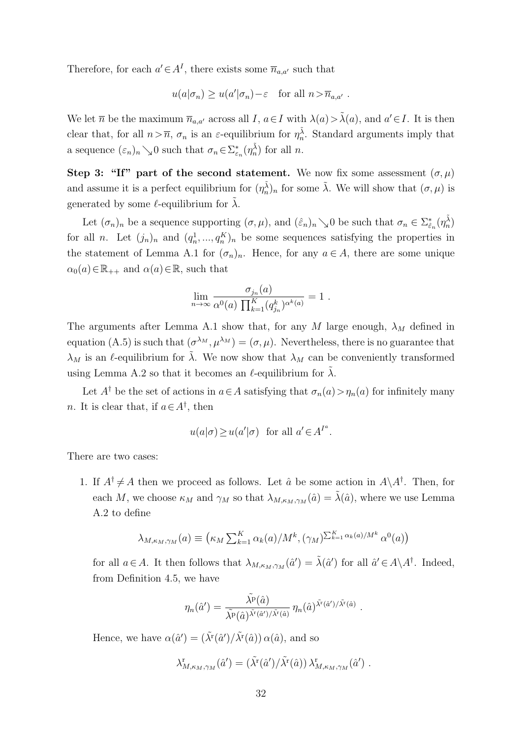Therefore, for each  $a' \in A<sup>I</sup>$ , there exists some  $\overline{n}_{a,a'}$  such that

$$
u(a|\sigma_n) \geq u(a'|\sigma_n) - \varepsilon
$$
 for all  $n > \overline{n}_{a,a'}$ .

We let  $\overline{n}$  be the maximum  $\overline{n}_{a,a'}$  across all I,  $a \in I$  with  $\lambda(a) > \tilde{\lambda}(a)$ , and  $a' \in I$ . It is then clear that, for all  $n > \overline{n}$ ,  $\sigma_n$  is an  $\varepsilon$ -equilibrium for  $\eta_n^{\tilde{\lambda}}$ . Standard arguments imply that a sequence  $(\varepsilon_n)_n \searrow 0$  such that  $\sigma_n \in \sum_{\varepsilon_n}^{\infty} (\eta_n^{\tilde{\lambda}})$  for all  $n$ .

Step 3: "If" part of the second statement. We now fix some assessment  $(\sigma, \mu)$ and assume it is a perfect equilibrium for  $(\eta_n^{\tilde{\lambda}})_n$  for some  $\tilde{\lambda}$ . We will show that  $(\sigma, \mu)$  is generated by some  $\ell$ -equilibrium for  $\tilde{\lambda}$ .

Let  $(\sigma_n)_n$  be a sequence supporting  $(\sigma, \mu)$ , and  $(\hat{\varepsilon}_n)_n \searrow 0$  be such that  $\sigma_n \in \Sigma_{\hat{\varepsilon}_n}^*(\eta_n^{\tilde{\lambda}})$ for all *n*. Let  $(j_n)_n$  and  $(q_n^1, ..., q_n^K)_n$  be some sequences satisfying the properties in the statement of Lemma [A.1](#page-24-1) for  $(\sigma_n)_n$ . Hence, for any  $a \in A$ , there are some unique  $\alpha_0(a) \in \mathbb{R}_{++}$  and  $\alpha(a) \in \mathbb{R}$ , such that

$$
\lim_{n \to \infty} \frac{\sigma_{j_n}(a)}{\alpha^0(a) \prod_{k=1}^K (q_{j_n}^k)^{\alpha^k(a)}} = 1.
$$

The arguments after Lemma [A.1](#page-24-1) show that, for any M large enough,  $\lambda_M$  defined in equation [\(A.5\)](#page-28-1) is such that  $(\sigma^{\lambda_M}, \mu^{\lambda_M}) = (\sigma, \mu)$ . Nevertheless, there is no guarantee that  $\lambda_M$  is an  $\ell$ -equilibrium for  $\tilde{\lambda}$ . We now show that  $\lambda_M$  can be conveniently transformed using Lemma [A.2](#page-30-0) so that it becomes an  $\ell$ -equilibrium for  $\lambda$ .

Let  $A^{\dagger}$  be the set of actions in  $a \in A$  satisfying that  $\sigma_n(a) > \eta_n(a)$  for infinitely many *n*. It is clear that, if  $a \in A^{\dagger}$ , then

$$
u(a|\sigma) \ge u(a'|\sigma)
$$
 for all  $a' \in A^{I^a}$ .

There are two cases:

1. If  $A^{\dagger} \neq A$  then we proceed as follows. Let  $\hat{a}$  be some action in  $A \setminus A^{\dagger}$ . Then, for each M, we choose  $\kappa_M$  and  $\gamma_M$  so that  $\lambda_{M,\kappa_M,\gamma_M}(\hat{a}) = \tilde{\lambda}(\hat{a})$ , where we use Lemma [A.2](#page-30-0) to define

$$
\lambda_{M,\kappa_M,\gamma_M}(a) \equiv \left(\kappa_M \sum_{k=1}^K \alpha_k(a)/M^k, (\gamma_M) \sum_{k=1}^K \alpha_k(a)/M^k \alpha^0(a)\right)
$$

for all  $a \in A$ . It then follows that  $\lambda_{M,\kappa_M,\gamma_M}(\hat{a}') = \tilde{\lambda}(\hat{a}')$  for all  $\hat{a}' \in A \backslash A^{\dagger}$ . Indeed, from Definition [4.5,](#page-13-3) we have

$$
\eta_n(\hat{a}') = \frac{\tilde{\lambda^p}(\hat{a})}{\tilde{\lambda^p}(\hat{a})^{\tilde{\lambda^r}(\hat{a}')/\tilde{\lambda^r}(\hat{a})}} \eta_n(\hat{a})^{\tilde{\lambda^r}(\hat{a}')/\tilde{\lambda^r}(\hat{a})}.
$$

Hence, we have  $\alpha(\hat{a}') = (\tilde{\lambda}^{\mathsf{r}}(\hat{a}') / \tilde{\lambda}^{\mathsf{r}}(\hat{a})) \alpha(\hat{a})$ , and so

$$
\lambda^{\rm r}_{M,\kappa_M,\gamma_M}(\hat{a}') = (\tilde{\lambda}^{\rm r}(\hat{a}')/\tilde{\lambda}^{\rm r}(\hat{a}))\lambda^{\rm r}_{M,\kappa_M,\gamma_M}(\hat{a}')\ .
$$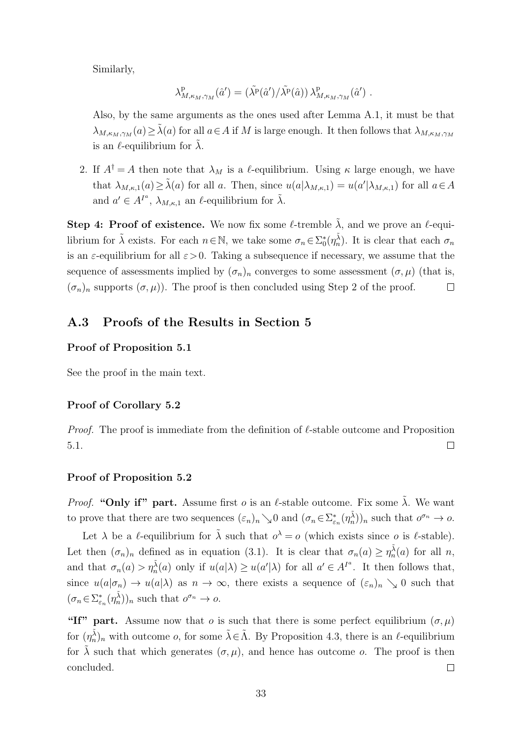Similarly,

$$
\lambda_{M,\kappa_M,\gamma_M}^{\mathrm{p}}(\hat{a}') = (\tilde{\lambda}^{\mathrm{p}}(\hat{a}') / \tilde{\lambda}^{\mathrm{p}}(\hat{a})) \lambda_{M,\kappa_M,\gamma_M}^{\mathrm{p}}(\hat{a}') .
$$

Also, by the same arguments as the ones used after Lemma [A.1,](#page-24-1) it must be that  $\lambda_{M,\kappa_M,\gamma_M}(a) \geq \tilde{\lambda}(a)$  for all  $a \in A$  if M is large enough. It then follows that  $\lambda_{M,\kappa_M,\gamma_M}(a)$ is an  $\ell$ -equilibrium for  $\lambda$ .

2. If  $A^{\dagger} = A$  then note that  $\lambda_M$  is a  $\ell$ -equilibrium. Using  $\kappa$  large enough, we have that  $\lambda_{M,\kappa,1}(a) \geq \tilde{\lambda}(a)$  for all a. Then, since  $u(a|\lambda_{M,\kappa,1}) = u(a'|\lambda_{M,\kappa,1})$  for all  $a \in A$ and  $a' \in A^{I^a}$ ,  $\lambda_{M,\kappa,1}$  an  $\ell$ -equilibrium for  $\tilde{\lambda}$ .

Step 4: Proof of existence. We now fix some  $\ell$ -tremble  $\tilde{\lambda}$ , and we prove an  $\ell$ -equilibrium for  $\tilde{\lambda}$  exists. For each  $n \in \mathbb{N}$ , we take some  $\sigma_n \in \Sigma_0^*(\eta_n^{\tilde{\lambda}})$ . It is clear that each  $\sigma_n$ is an  $\varepsilon$ -equilibrium for all  $\varepsilon > 0$ . Taking a subsequence if necessary, we assume that the sequence of assessments implied by  $(\sigma_n)_n$  converges to some assessment  $(\sigma, \mu)$  (that is,  $(\sigma_n)_n$  supports  $(\sigma, \mu)$ ). The proof is then concluded using Step 2 of the proof.  $\Box$ 

# A.3 Proofs of the Results in Section [5](#page-14-0)

### Proof of Proposition [5.1](#page-15-2)

See the proof in the main text.

### Proof of Corollary [5.2](#page-19-1)

*Proof.* The proof is immediate from the definition of  $\ell$ -stable outcome and Proposition [5.1.](#page-15-2)  $\Box$ 

### Proof of Proposition [5.2](#page-16-1)

*Proof.* "Only if" part. Assume first *o* is an  $\ell$ -stable outcome. Fix some  $\tilde{\lambda}$ . We want to prove that there are two sequences  $(\varepsilon_n)_n \searrow 0$  and  $(\sigma_n \in \Sigma_{\varepsilon_n}^*(\eta_n^{\tilde{\lambda}}))_n$  such that  $o^{\sigma_n} \to o$ .

Let  $\lambda$  be a l-equilibrium for  $\tilde{\lambda}$  such that  $o^{\lambda} = o$  (which exists since o is l-stable). Let then  $(\sigma_n)_n$  defined as in equation [\(3.1\)](#page-6-2). It is clear that  $\sigma_n(a) \geq \eta_n^{\tilde{\lambda}}(a)$  for all n, and that  $\sigma_n(a) > \eta_n^{\tilde{\lambda}}(a)$  only if  $u(a|\lambda) \geq u(a'|\lambda)$  for all  $a' \in A^{I^a}$ . It then follows that, since  $u(a|\sigma_n) \to u(a|\lambda)$  as  $n \to \infty$ , there exists a sequence of  $(\varepsilon_n)_n \searrow 0$  such that  $(\sigma_n \in \Sigma_{\varepsilon_n}^*(\eta_n^{\tilde{\lambda}}))_n$  such that  $o^{\sigma_n} \to o$ .

"If" part. Assume now that o is such that there is some perfect equilibrium  $(\sigma, \mu)$ for  $(\eta_n^{\tilde{\lambda}})_n$  with outcome *o*, for some  $\tilde{\lambda} \in \tilde{\Lambda}$ . By Proposition [4.3,](#page-13-1) there is an  $\ell$ -equilibrium for  $\tilde{\lambda}$  such that which generates  $(\sigma, \mu)$ , and hence has outcome o. The proof is then concluded.  $\Box$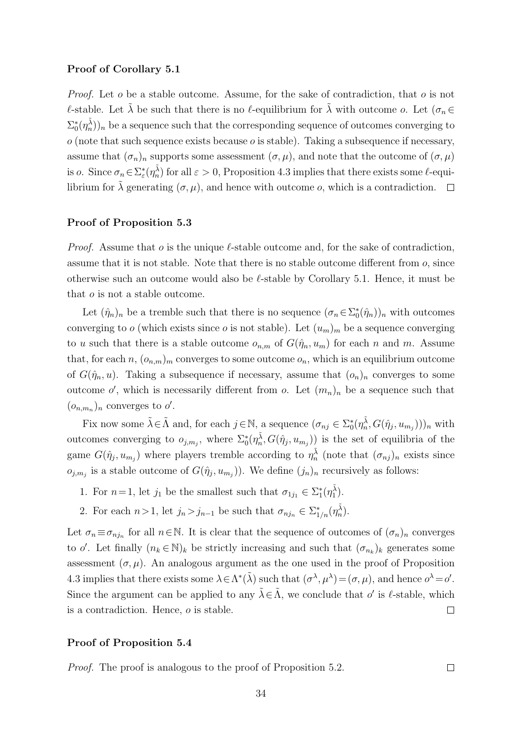#### Proof of Corollary [5.1](#page-17-1)

*Proof.* Let  $o$  be a stable outcome. Assume, for the sake of contradiction, that  $o$  is not  $\ell$ -stable. Let  $\tilde{\lambda}$  be such that there is no  $\ell$ -equilibrium for  $\tilde{\lambda}$  with outcome o. Let  $(\sigma_n \in$  $(\Sigma_0^*(\eta_n^{\tilde{\lambda}}))_n$  be a sequence such that the corresponding sequence of outcomes converging to  $o$  (note that such sequence exists because  $o$  is stable). Taking a subsequence if necessary, assume that  $(\sigma_n)_n$  supports some assessment  $(\sigma, \mu)$ , and note that the outcome of  $(\sigma, \mu)$ is *o*. Since  $\sigma_n \in \Sigma_{\varepsilon}^*(\eta_n^{\tilde{\lambda}})$  for all  $\varepsilon > 0$ , Proposition [4.3](#page-13-1) implies that there exists some  $\ell$ -equilibrium for  $\tilde{\lambda}$  generating  $(\sigma, \mu)$ , and hence with outcome o, which is a contradiction.  $\Box$ 

### Proof of Proposition [5.3](#page-17-4)

*Proof.* Assume that o is the unique  $\ell$ -stable outcome and, for the sake of contradiction, assume that it is not stable. Note that there is no stable outcome different from o, since otherwise such an outcome would also be  $\ell$ -stable by Corollary [5.1.](#page-17-1) Hence, it must be that o is not a stable outcome.

Let  $(\hat{\eta}_n)_n$  be a tremble such that there is no sequence  $(\sigma_n \in \Sigma_0^*(\hat{\eta}_n))_n$  with outcomes converging to o (which exists since o is not stable). Let  $(u_m)_m$  be a sequence converging to u such that there is a stable outcome  $o_{n,m}$  of  $G(\hat{\eta}_n, u_m)$  for each n and m. Assume that, for each  $n, (o_{n,m})_m$  converges to some outcome  $o_n$ , which is an equilibrium outcome of  $G(\hat{\eta}_n, u)$ . Taking a subsequence if necessary, assume that  $(o_n)_n$  converges to some outcome o', which is necessarily different from o. Let  $(m_n)_n$  be a sequence such that  $(o_{n,m_n})_n$  converges to  $o'$ .

Fix now some  $\tilde{\lambda} \in \tilde{\Lambda}$  and, for each  $j \in \mathbb{N}$ , a sequence  $(\sigma_{nj} \in \Sigma_{0}^{*}(\eta_{n}^{\tilde{\lambda}}, G(\hat{\eta}_{j}, u_{m_{j}})))_{n}$  with outcomes converging to  $o_{j,m_j}$ , where  $\Sigma_0^*(\eta_m^{\tilde{\lambda}}, G(\hat{\eta}_j, u_{m_j}))$  is the set of equilibria of the game  $G(\hat{\eta}_j, u_{m_j})$  where players tremble according to  $\eta_n^{\tilde{\lambda}}$  (note that  $(\sigma_{nj})_n$  exists since  $o_{j,m_j}$  is a stable outcome of  $G(\hat{\eta}_j, u_{m_j})$ . We define  $(j_n)_n$  recursively as follows:

- 1. For  $n=1$ , let  $j_1$  be the smallest such that  $\sigma_{1j_1} \in \Sigma_1^*(\eta_1^{\tilde{\lambda}})$ .
- 2. For each  $n>1$ , let  $j_n > j_{n-1}$  be such that  $\sigma_{nj_n} \in \sum_{1/n}^{\infty} (\eta_n^{\tilde{\lambda}})$ .

Let  $\sigma_n \equiv \sigma_{n j_n}$  for all  $n \in \mathbb{N}$ . It is clear that the sequence of outcomes of  $(\sigma_n)_n$  converges to  $o'$ . Let finally  $(n_k \in \mathbb{N})_k$  be strictly increasing and such that  $(\sigma_{n_k})_k$  generates some assessment  $(\sigma, \mu)$ . An analogous argument as the one used in the proof of Proposition [4.3](#page-13-1) implies that there exists some  $\lambda \in \Lambda^*(\tilde{\lambda})$  such that  $({\sigma}^{\lambda}, {\mu}^{\lambda}) = (\sigma, \mu)$ , and hence  ${\sigma}^{\lambda} = {\sigma}'$ . Since the argument can be applied to any  $\tilde{\lambda} \in \tilde{\Lambda}$ , we conclude that  $o'$  is  $\ell$ -stable, which is a contradiction. Hence, o is stable.  $\Box$ 

### Proof of Proposition [5.4](#page-17-5)

Proof. The proof is analogous to the proof of Proposition [5.2.](#page-16-1)

 $\Box$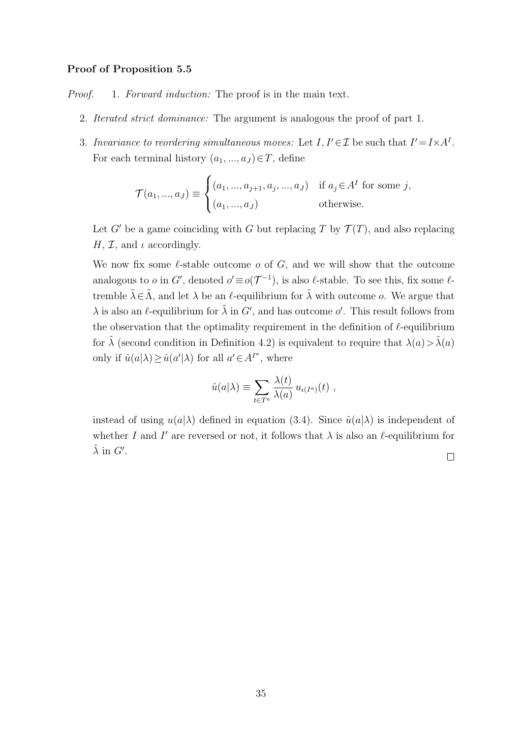### Proof of Proposition [5.5](#page-17-3)

Proof. 1. Forward induction: The proof is in the main text.

- 2. Iterated strict dominance: The argument is analogous the proof of part 1.
- 3. Invariance to reordering simultaneous moves: Let  $I, I' \in \mathcal{I}$  be such that  $I' = I \times A^I$ . For each terminal history  $(a_1, ..., a_J) \in T$ , define

$$
\mathcal{T}(a_1, ..., a_J) \equiv \begin{cases} (a_1, ..., a_{j+1}, a_j, ..., a_J) & \text{if } a_j \in A^I \text{ for some } j, \\ (a_1, ..., a_J) & \text{otherwise.} \end{cases}
$$

Let G' be a game coinciding with G but replacing T by  $\mathcal{T}(T)$ , and also replacing  $H, \mathcal{I}$ , and  $\iota$  accordingly.

We now fix some  $\ell$ -stable outcome  $o$  of  $G$ , and we will show that the outcome analogous to o in G', denoted  $o' \equiv o(\mathcal{T}^{-1})$ , is also  $\ell$ -stable. To see this, fix some  $\ell$ tremble  $\tilde{\lambda} \in \tilde{\Lambda}$ , and let  $\lambda$  be an  $\ell$ -equilibrium for  $\tilde{\lambda}$  with outcome  $o$ . We argue that  $\lambda$  is also an  $\ell$ -equilibrium for  $\tilde{\lambda}$  in  $G'$ , and has outcome  $o'$ . This result follows from the observation that the optimality requirement in the definition of  $\ell$ -equilibrium for  $\lambda$  (second condition in Definition [4.2\)](#page-11-1) is equivalent to require that  $\lambda(a) > \tilde{\lambda}(a)$ only if  $\hat{u}(a|\lambda) \geq \hat{u}(a'|\lambda)$  for all  $a' \in A^{I^a}$ , where

$$
\hat{u}(a|\lambda) \equiv \sum_{t \in T^a} \frac{\lambda(t)}{\lambda(a)} u_{\iota(I^a)}(t) ,
$$

instead of using  $u(a|\lambda)$  defined in equation [\(3.4\)](#page-9-1). Since  $\hat{u}(a|\lambda)$  is independent of whether I and I' are reversed or not, it follows that  $\lambda$  is also an  $\ell$ -equilibrium for  $\tilde{\lambda}$  in  $G'.$ 

 $\Box$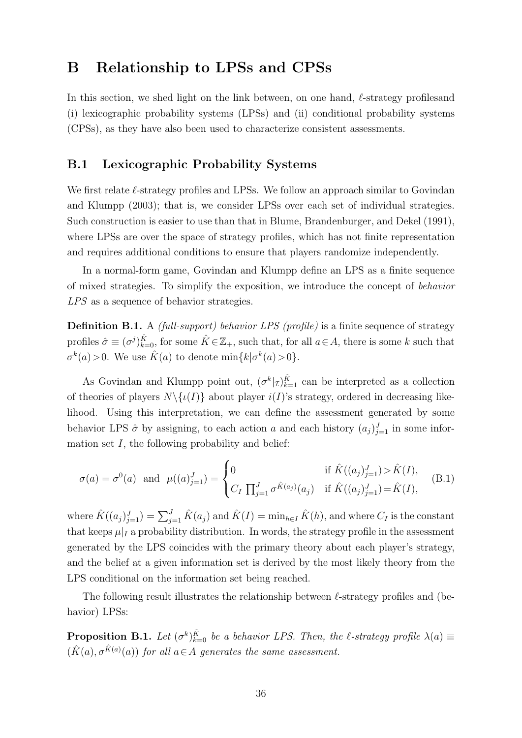# <span id="page-35-0"></span>B Relationship to LPSs and CPSs

In this section, we shed light on the link between, on one hand,  $\ell$ -strategy profiles and (i) lexicographic probability systems (LPSs) and (ii) conditional probability systems (CPSs), as they have also been used to characterize consistent assessments.

# B.1 Lexicographic Probability Systems

We first relate  $\ell$ -strategy profiles and LPSs. We follow an approach similar to [Govindan](#page-22-7) [and Klumpp](#page-22-7) [\(2003\)](#page-22-7); that is, we consider LPSs over each set of individual strategies. Such construction is easier to use than that in [Blume, Brandenburger, and Dekel](#page-22-6) [\(1991\)](#page-22-6), where LPSs are over the space of strategy profiles, which has not finite representation and requires additional conditions to ensure that players randomize independently.

In a normal-form game, [Govindan and Klumpp](#page-22-7) define an LPS as a finite sequence of mixed strategies. To simplify the exposition, we introduce the concept of behavior LPS as a sequence of behavior strategies.

Definition B.1. A *(full-support) behavior LPS (profile)* is a finite sequence of strategy profiles  $\hat{\sigma} \equiv (\sigma^j)_{k=0}^{\hat{K}},$  for some  $\hat{K} \in \mathbb{Z}_+$ , such that, for all  $a \in A$ , there is some k such that  $\sigma^k(a) > 0$ . We use  $\hat{K}(a)$  to denote  $\min\{k|\sigma^k(a) > 0\}$ .

As [Govindan and Klumpp](#page-22-7) point out,  $(\sigma^k |_{\mathcal{I}})_{k=1}^{\hat{K}}$  can be interpreted as a collection of theories of players  $N\setminus \{i(I)\}$  about player  $i(I)$ 's strategy, ordered in decreasing likelihood. Using this interpretation, we can define the assessment generated by some behavior LPS  $\hat{\sigma}$  by assigning, to each action a and each history  $(a_j)_{j=1}^J$  in some information set  $I$ , the following probability and belief:

$$
\sigma(a) = \sigma^{0}(a) \text{ and } \mu((a)_{j=1}^{J}) = \begin{cases} 0 & \text{if } \hat{K}((a_{j})_{j=1}^{J}) > \hat{K}(I), \\ C_{I} \prod_{j=1}^{J} \sigma^{\hat{K}(a_{j})}(a_{j}) & \text{if } \hat{K}((a_{j})_{j=1}^{J}) = \hat{K}(I), \end{cases}
$$
(B.1)

where  $\hat{K}((a_j)_{j=1}^J) = \sum_{j=1}^J \hat{K}(a_j)$  and  $\hat{K}(I) = \min_{h \in I} \hat{K}(h)$ , and where  $C_I$  is the constant that keeps  $\mu|_I$  a probability distribution. In words, the strategy profile in the assessment generated by the LPS coincides with the primary theory about each player's strategy, and the belief at a given information set is derived by the most likely theory from the LPS conditional on the information set being reached.

The following result illustrates the relationship between  $\ell$ -strategy profiles and (behavior) LPSs:

<span id="page-35-1"></span>**Proposition B.1.** Let  $(\sigma^k)_{k=0}^{\hat{K}}$  be a behavior LPS. Then, the  $\ell$ -strategy profile  $\lambda(a) \equiv$  $(\hat{K}(a), \sigma^{\hat{K}(a)}(a))$  for all  $a \in A$  generates the same assessment.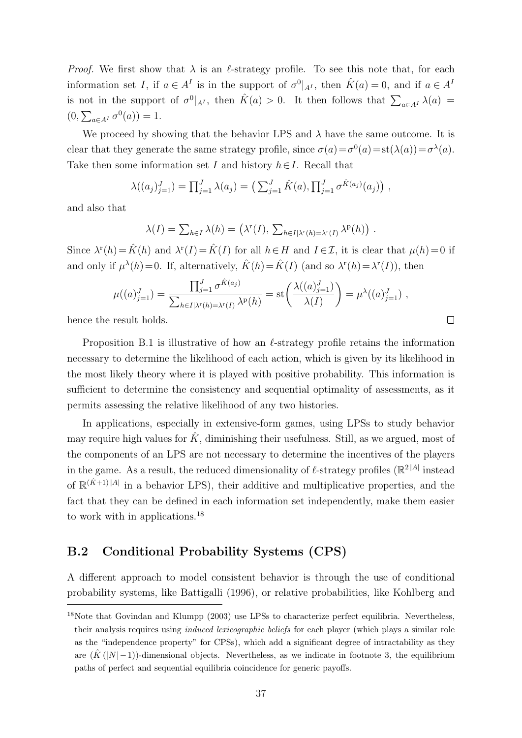*Proof.* We first show that  $\lambda$  is an  $\ell$ -strategy profile. To see this note that, for each information set I, if  $a \in A^I$  is in the support of  $\sigma^0|_{A^I}$ , then  $\hat{K}(a) = 0$ , and if  $a \in A^I$ is not in the support of  $\sigma^0|_{A^I}$ , then  $\hat{K}(a) > 0$ . It then follows that  $\sum_{a \in A^I} \lambda(a) =$  $(0, \sum_{a \in A^I} \sigma^0(a)) = 1.$ 

We proceed by showing that the behavior LPS and  $\lambda$  have the same outcome. It is clear that they generate the same strategy profile, since  $\sigma(a) = \sigma^0(a) = st(\lambda(a)) = \sigma^{\lambda}(a)$ . Take then some information set I and history  $h \in I$ . Recall that

$$
\lambda((a_j)_{j=1}^J) = \prod_{j=1}^J \lambda(a_j) = \left( \sum_{j=1}^J \hat{K}(a), \prod_{j=1}^J \sigma^{\hat{K}(a_j)}(a_j) \right),
$$

and also that

$$
\lambda(I) = \sum_{h \in I} \lambda(h) = (\lambda^{r}(I), \sum_{h \in I | \lambda^{r}(h) = \lambda^{r}(I)} \lambda^{p}(h)).
$$

Since  $\lambda^r(h) = \hat{K}(h)$  and  $\lambda^r(I) = \hat{K}(I)$  for all  $h \in H$  and  $I \in \mathcal{I}$ , it is clear that  $\mu(h) = 0$  if and only if  $\mu^{\lambda}(h) = 0$ . If, alternatively,  $\hat{K}(h) = \hat{K}(I)$  (and so  $\lambda^{r}(h) = \lambda^{r}(I)$ ), then

$$
\mu((a)_{j=1}^J) = \frac{\prod_{j=1}^J \sigma^{\hat{K}(a_j)}}{\sum_{h \in I | \lambda^r(h) = \lambda^r(I)} \lambda^p(h)} = \text{st}\left(\frac{\lambda((a)_{j=1}^J)}{\lambda(I)}\right) = \mu^{\lambda}((a)_{j=1}^J) ,
$$

 $\Box$ 

hence the result holds.

Proposition [B.1](#page-35-1) is illustrative of how an  $\ell$ -strategy profile retains the information necessary to determine the likelihood of each action, which is given by its likelihood in the most likely theory where it is played with positive probability. This information is sufficient to determine the consistency and sequential optimality of assessments, as it permits assessing the relative likelihood of any two histories.

In applications, especially in extensive-form games, using LPSs to study behavior may require high values for  $\hat{K}$ , diminishing their usefulness. Still, as we argued, most of the components of an LPS are not necessary to determine the incentives of the players in the game. As a result, the reduced dimensionality of  $\ell$ -strategy profiles ( $\mathbb{R}^2$ <sup>|A|</sup> instead of  $\mathbb{R}^{(\hat{K}+1)|A|}$  in a behavior LPS), their additive and multiplicative properties, and the fact that they can be defined in each information set independently, make them easier to work with in applications.<sup>[18](#page-36-0)</sup>

### B.2 Conditional Probability Systems (CPS)

A different approach to model consistent behavior is through the use of conditional probability systems, like [Battigalli](#page-22-5) [\(1996\)](#page-22-5), or relative probabilities, like [Kohlberg and](#page-22-10)

<span id="page-36-0"></span><sup>&</sup>lt;sup>18</sup>Note that [Govindan and Klumpp](#page-22-7) [\(2003\) use LPSs to characterize perfect equilibria. Nevertheless,](#page-22-10) their analysis requires using *induced lexicographic beliefs* [for each player \(which plays a similar role](#page-22-10) [as the "independence property" for CPSs\), which add a significant degree of intractability as they](#page-22-10) are  $(\hat{K}(|N|-1))$ -dimensional objects. Nevertheless, as we indicate in footnote [3,](#page-3-1) the equilibrium [paths of perfect and sequential equilibria coincidence for generic payoffs.](#page-22-10)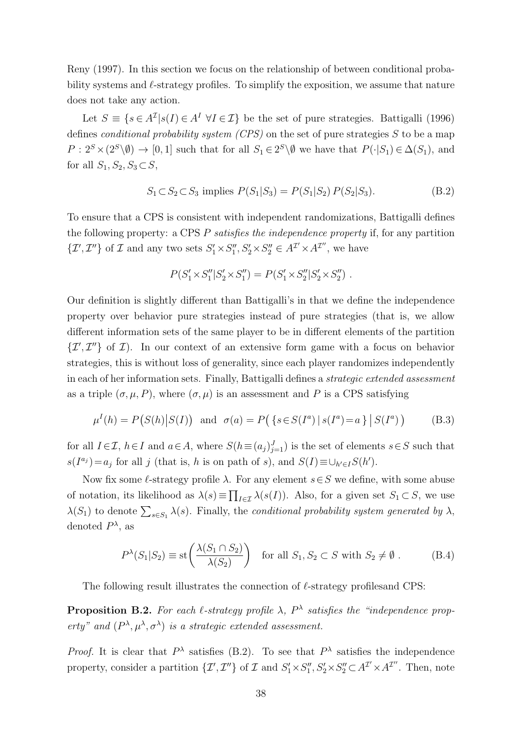[Reny](#page-22-10) [\(1997\)](#page-22-10). In this section we focus on the relationship of between conditional probability systems and  $\ell$ -strategy profiles. To simplify the exposition, we assume that nature does not take any action.

Let  $S \equiv \{s \in A^{\mathcal{I}} | s(I) \in A^I \; \forall I \in \mathcal{I}\}\$ be the set of pure strategies. [Battigalli](#page-22-5) [\(1996\)](#page-22-5) defines *conditional probability system (CPS)* on the set of pure strategies  $S$  to be a map  $P: 2^S \times (2^S \backslash \emptyset) \rightarrow [0,1]$  such that for all  $S_1 \in 2^S \backslash \emptyset$  we have that  $P(\cdot | S_1) \in \Delta(S_1)$ , and for all  $S_1, S_2, S_3 \subset S$ ,

$$
S_1 \subset S_2 \subset S_3 \text{ implies } P(S_1|S_3) = P(S_1|S_2) P(S_2|S_3). \tag{B.2}
$$

To ensure that a CPS is consistent with independent randomizations, [Battigalli](#page-22-5) defines the following property: a CPS P satisfies the independence property if, for any partition  $\{\mathcal{I}',\mathcal{I}''\}$  of  $\mathcal I$  and any two sets  $S'_1 \times S''_1, S'_2 \times S''_2 \in A^{\mathcal I'} \times A^{\mathcal I''}$ , we have

<span id="page-37-2"></span><span id="page-37-0"></span>
$$
P(S'_1 \times S_1'' | S'_2 \times S_1'') = P(S'_1 \times S_2'' | S'_2 \times S_2'')
$$
.

Our definition is slightly different than [Battigalli'](#page-22-5)s in that we define the independence property over behavior pure strategies instead of pure strategies (that is, we allow different information sets of the same player to be in different elements of the partition  $\{\mathcal{I}',\mathcal{I}''\}$  of  $\mathcal{I}$ ). In our context of an extensive form game with a focus on behavior strategies, this is without loss of generality, since each player randomizes independently in each of her information sets. Finally, [Battigalli](#page-22-5) defines a strategic extended assessment as a triple  $(\sigma, \mu, P)$ , where  $(\sigma, \mu)$  is an assessment and P is a CPS satisfying

$$
\mu^{I}(h) = P(S(h)|S(I)) \text{ and } \sigma(a) = P(\{s \in S(I^{a}) | s(I^{a}) = a\} | S(I^{a}))
$$
 (B.3)

for all  $I \in \mathcal{I}$ ,  $h \in I$  and  $a \in A$ , where  $S(h \equiv (a_j)_{j=1}^J)$  is the set of elements  $s \in S$  such that  $s(I^{a_j}) = a_j$  for all j (that is, h is on path of s), and  $S(I) \equiv \bigcup_{h' \in I} S(h')$ .

Now fix some  $\ell$ -strategy profile  $\lambda$ . For any element  $s \in S$  we define, with some abuse of notation, its likelihood as  $\lambda(s) \equiv \prod_{I \in \mathcal{I}} \lambda(s(I))$ . Also, for a given set  $S_1 \subset S$ , we use  $\lambda(S_1)$  to denote  $\sum_{s \in S_1} \lambda(s)$ . Finally, the conditional probability system generated by  $\lambda$ , denoted  $P^{\lambda}$ , as

<span id="page-37-1"></span>
$$
P^{\lambda}(S_1|S_2) \equiv \text{st}\left(\frac{\lambda(S_1 \cap S_2)}{\lambda(S_2)}\right) \quad \text{for all } S_1, S_2 \subset S \text{ with } S_2 \neq \emptyset. \tag{B.4}
$$

The following result illustrates the connection of  $\ell$ -strategy profiles and CPS:

<span id="page-37-3"></span>**Proposition B.2.** For each  $\ell$ -strategy profile  $\lambda$ ,  $P^{\lambda}$  satisfies the "independence property" and  $(P^{\lambda}, \mu^{\lambda}, \sigma^{\lambda})$  is a strategic extended assessment.

*Proof.* It is clear that  $P^{\lambda}$  satisfies [\(B.2\)](#page-37-0). To see that  $P^{\lambda}$  satisfies the independence property, consider a partition  $\{\mathcal{I}',\mathcal{I}''\}$  of  $\mathcal{I}$  and  $S'_1 \times S''_1, S'_2 \times S''_2 \subset A^{\mathcal{I}'} \times A^{\mathcal{I}''}$ . Then, note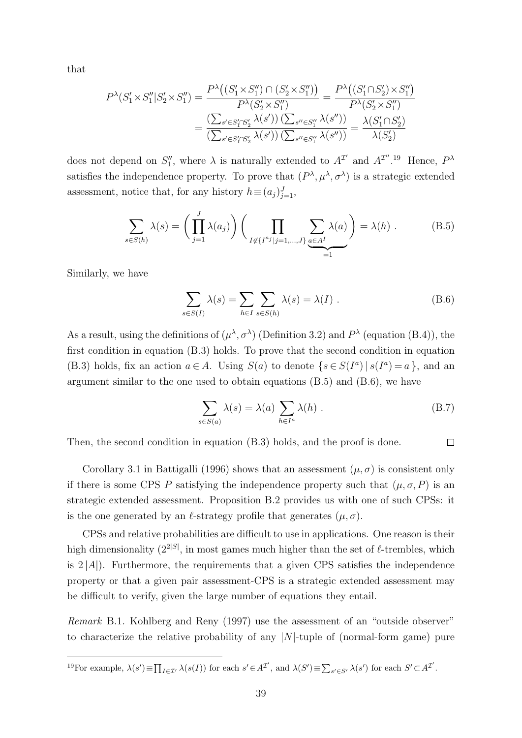that

$$
P^{\lambda}(S'_1 \times S''_1 | S'_2 \times S''_1) = \frac{P^{\lambda}\big((S'_1 \times S''_1) \cap (S'_2 \times S''_1)\big)}{P^{\lambda}(S'_2 \times S''_1)} = \frac{P^{\lambda}\big((S'_1 \cap S'_2) \times S''_1\big)}{P^{\lambda}(S'_2 \times S''_1)}
$$

$$
= \frac{\left(\sum_{s' \in S'_1 \cap S'_2} \lambda(s')\right)\left(\sum_{s'' \in S''_1} \lambda(s'')\right)}{\left(\sum_{s' \in S'_1 \cap S'_2} \lambda(s')\right)\left(\sum_{s'' \in S''_1} \lambda(s'')\right)} = \frac{\lambda(S'_1 \cap S'_2)}{\lambda(S'_2)}
$$

does not depend on  $S_1''$ , where  $\lambda$  is naturally extended to  $A^{\mathcal{I}'}$  and  $A^{\mathcal{I}''}$ .<sup>[19](#page-38-0)</sup> Hence,  $P^{\lambda}$ satisfies the independence property. To prove that  $(P^{\lambda}, \mu^{\lambda}, \sigma^{\lambda})$  is a strategic extended assessment, notice that, for any history  $h \equiv (a_j)_{j=1}^J$ ,

$$
\sum_{s \in S(h)} \lambda(s) = \left(\prod_{j=1}^{J} \lambda(a_j)\right) \left(\prod_{I \notin \{I^{a_j}|j=1,\dots,J\}} \sum_{a \in A^I} \lambda(a)\right) = \lambda(h) . \tag{B.5}
$$

Similarly, we have

<span id="page-38-2"></span><span id="page-38-1"></span>
$$
\sum_{s \in S(I)} \lambda(s) = \sum_{h \in I} \sum_{s \in S(h)} \lambda(s) = \lambda(I) .
$$
 (B.6)

As a result, using the definitions of  $(\mu^{\lambda}, \sigma^{\lambda})$  (Definition [3.2\)](#page-7-2) and  $P^{\lambda}$  (equation [\(B.4\)](#page-37-1)), the first condition in equation [\(B.3\)](#page-37-2) holds. To prove that the second condition in equation [\(B.3\)](#page-37-2) holds, fix an action  $a \in A$ . Using  $S(a)$  to denote  $\{s \in S(I^a) \mid s(I^a) = a\}$ , and an argument similar to the one used to obtain equations [\(B.5\)](#page-38-1) and [\(B.6\)](#page-38-2), we have

$$
\sum_{s \in S(a)} \lambda(s) = \lambda(a) \sum_{h \in I^a} \lambda(h) .
$$
 (B.7)

Then, the second condition in equation [\(B.3\)](#page-37-2) holds, and the proof is done.  $\Box$ 

Corollary 3.1 in [Battigalli](#page-22-5) [\(1996\)](#page-22-5) shows that an assessment  $(\mu, \sigma)$  is consistent only if there is some CPS P satisfying the independence property such that  $(\mu, \sigma, P)$  is an strategic extended assessment. Proposition [B.2](#page-37-3) provides us with one of such CPSs: it is the one generated by an  $\ell$ -strategy profile that generates  $(\mu, \sigma)$ .

CPSs and relative probabilities are difficult to use in applications. One reason is their high dimensionality  $(2^{2|S|})$ , in most games much higher than the set of  $\ell$ -trembles, which is  $2 |A|$ ). Furthermore, the requirements that a given CPS satisfies the independence property or that a given pair assessment-CPS is a strategic extended assessment may be difficult to verify, given the large number of equations they entail.

Remark B.1. [Kohlberg and Reny](#page-22-10) [\(1997\)](#page-22-10) use the assessment of an "outside observer" to characterize the relative probability of any  $|N|$ -tuple of (normal-form game) pure

<span id="page-38-0"></span><sup>&</sup>lt;sup>19</sup>For example,  $\lambda(s') \equiv \prod_{I \in \mathcal{I}'} \lambda(s(I))$  for each  $s' \in A^{\mathcal{I}'},$  and  $\lambda(S') \equiv \sum_{s' \in S'} \lambda(s')$  for each  $S' \subset A^{\mathcal{I}'}$ .